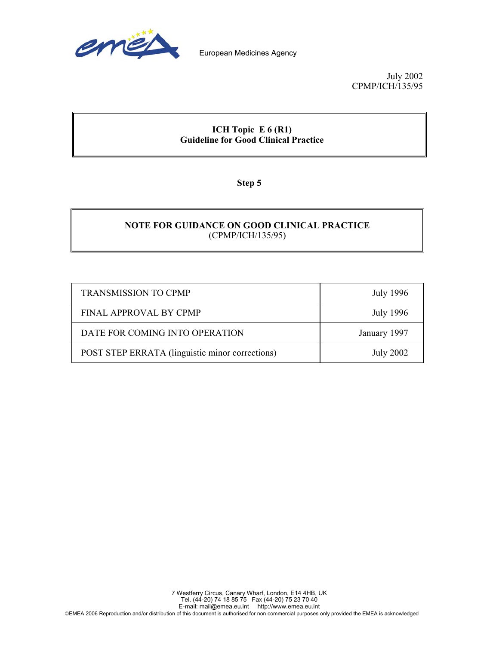

European Medicines Agency

July 2002 CPMP/ICH/135/95

## **ICH Topic E 6 (R1) Guideline for Good Clinical Practice**

### **Step 5**

## **NOTE FOR GUIDANCE ON GOOD CLINICAL PRACTICE**  (CPMP/ICH/135/95)

| <b>TRANSMISSION TO CPMP</b>                     | July 1996        |
|-------------------------------------------------|------------------|
| FINAL APPROVAL BY CPMP                          | <b>July 1996</b> |
| DATE FOR COMING INTO OPERATION                  | January 1997     |
| POST STEP ERRATA (linguistic minor corrections) | <b>July 2002</b> |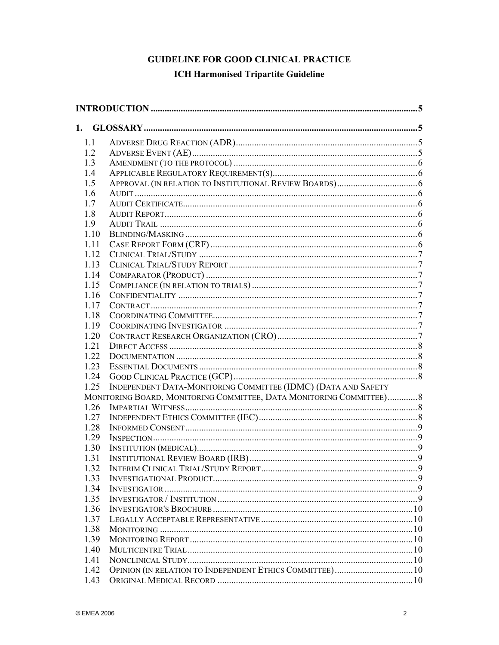# **GUIDELINE FOR GOOD CLINICAL PRACTICE**

# ICH Harmonised Tripartite Guideline

| 1.   |                                                                     |  |
|------|---------------------------------------------------------------------|--|
| 1.1  |                                                                     |  |
| 1.2  |                                                                     |  |
| 1.3  |                                                                     |  |
| 1.4  |                                                                     |  |
| 1.5  |                                                                     |  |
| 1.6  |                                                                     |  |
| 1.7  |                                                                     |  |
| 1.8  |                                                                     |  |
| 1.9  |                                                                     |  |
| 1.10 |                                                                     |  |
| 1.11 |                                                                     |  |
| 1.12 |                                                                     |  |
| 1.13 |                                                                     |  |
| 1.14 |                                                                     |  |
| 1.15 |                                                                     |  |
| 1.16 |                                                                     |  |
| 1.17 |                                                                     |  |
| 1.18 |                                                                     |  |
| 1.19 |                                                                     |  |
| 1.20 |                                                                     |  |
| 1.21 |                                                                     |  |
| 1.22 |                                                                     |  |
| 1.23 |                                                                     |  |
| 1.24 |                                                                     |  |
| 1.25 | INDEPENDENT DATA-MONITORING COMMITTEE (IDMC) (DATA AND SAFETY       |  |
|      | MONITORING BOARD, MONITORING COMMITTEE, DATA MONITORING COMMITTEE)8 |  |
| 1.26 |                                                                     |  |
| 1.27 |                                                                     |  |
| 1.28 |                                                                     |  |
| 1.29 |                                                                     |  |
| 1.30 |                                                                     |  |
| 1.31 |                                                                     |  |
| 1.33 |                                                                     |  |
| 1.34 |                                                                     |  |
| 1.35 |                                                                     |  |
| 1.36 |                                                                     |  |
| 1.37 |                                                                     |  |
| 1.38 |                                                                     |  |
| 1.39 |                                                                     |  |
| 1.40 |                                                                     |  |
| 1.41 |                                                                     |  |
| 1.42 |                                                                     |  |
| 1.43 |                                                                     |  |
|      |                                                                     |  |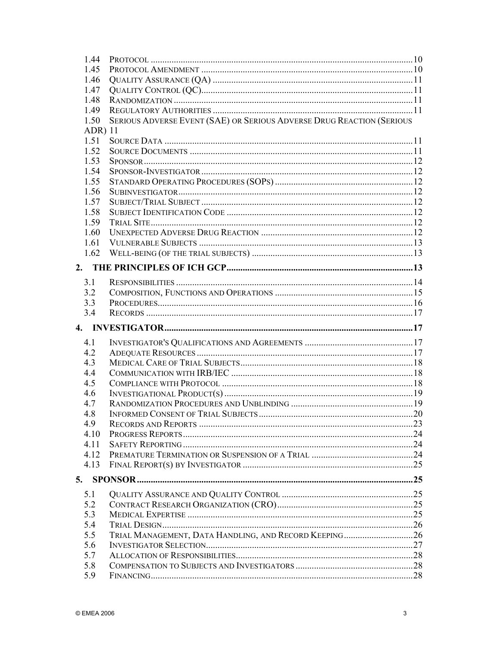| 1.44            |                                                                       |  |
|-----------------|-----------------------------------------------------------------------|--|
| 1.45            |                                                                       |  |
| 1.46            |                                                                       |  |
| 1.47            |                                                                       |  |
| 1.48            |                                                                       |  |
| 1.49            |                                                                       |  |
| 1.50            | SERIOUS ADVERSE EVENT (SAE) OR SERIOUS ADVERSE DRUG REACTION (SERIOUS |  |
| <b>ADR</b> ) 11 |                                                                       |  |
| 1.51            |                                                                       |  |
| 1.52            |                                                                       |  |
| 1.53            |                                                                       |  |
| 1.54            |                                                                       |  |
| 1.55            |                                                                       |  |
| 1.56            |                                                                       |  |
| 1.57            |                                                                       |  |
| 1.58            |                                                                       |  |
| 1.59            |                                                                       |  |
| 1.60            |                                                                       |  |
| 1.61            |                                                                       |  |
| 1.62            |                                                                       |  |
|                 |                                                                       |  |
|                 |                                                                       |  |
| 3.1             |                                                                       |  |
| 3.2             |                                                                       |  |
| 3.3             |                                                                       |  |
| 3.4             |                                                                       |  |
|                 |                                                                       |  |
|                 |                                                                       |  |
|                 |                                                                       |  |
| 4.1             |                                                                       |  |
| 4.2             |                                                                       |  |
| 4.3             |                                                                       |  |
| 4.4             |                                                                       |  |
| 4.5             |                                                                       |  |
| 4.6             |                                                                       |  |
| 4.7             |                                                                       |  |
| 4.8             |                                                                       |  |
| 4.9             |                                                                       |  |
| 4.10            |                                                                       |  |
| 4.11            |                                                                       |  |
| 4.12            |                                                                       |  |
| 4.13            |                                                                       |  |
|                 |                                                                       |  |
|                 |                                                                       |  |
| 5.1             |                                                                       |  |
| 5.2             |                                                                       |  |
| 5.3             |                                                                       |  |
| 5.4             |                                                                       |  |
| 5.5             | TRIAL MANAGEMENT, DATA HANDLING, AND RECORD KEEPING26                 |  |
| 5.6             |                                                                       |  |
| 5.7             |                                                                       |  |
| 5.8<br>5.9      |                                                                       |  |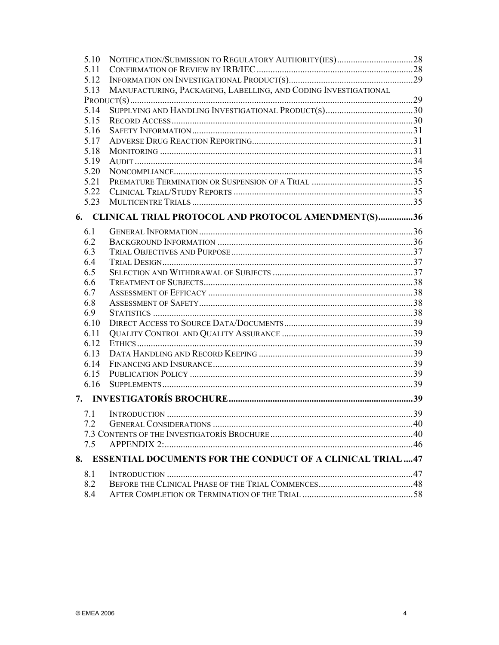| 5.10 |                                                                 |  |
|------|-----------------------------------------------------------------|--|
| 5.11 |                                                                 |  |
| 5.12 |                                                                 |  |
| 5.13 | MANUFACTURING, PACKAGING, LABELLING, AND CODING INVESTIGATIONAL |  |
|      |                                                                 |  |
| 5.14 |                                                                 |  |
| 5.15 |                                                                 |  |
| 5.16 |                                                                 |  |
| 5.17 |                                                                 |  |
| 5.18 |                                                                 |  |
| 5.19 |                                                                 |  |
| 5.20 |                                                                 |  |
| 5.21 |                                                                 |  |
| 5.22 |                                                                 |  |
| 5.23 |                                                                 |  |
|      | 6. CLINICAL TRIAL PROTOCOL AND PROTOCOL AMENDMENT(S)36          |  |
| 6.1  |                                                                 |  |
| 6.2  |                                                                 |  |
| 6.3  |                                                                 |  |
| 6.4  |                                                                 |  |
| 6.5  |                                                                 |  |
| 6.6  |                                                                 |  |
| 6.7  |                                                                 |  |
| 6.8  |                                                                 |  |
| 6.9  |                                                                 |  |
| 6.10 |                                                                 |  |
| 6.11 |                                                                 |  |
| 6.12 |                                                                 |  |
| 6.13 |                                                                 |  |
| 6.14 |                                                                 |  |
| 6.15 |                                                                 |  |
| 6.16 |                                                                 |  |
|      |                                                                 |  |
|      |                                                                 |  |
| 7.1  |                                                                 |  |
| 7.2  |                                                                 |  |
|      |                                                                 |  |
| 7.5  | <b>APPENDIX 2:</b>                                              |  |
|      | 8. ESSENTIAL DOCUMENTS FOR THE CONDUCT OF A CLINICAL TRIAL  47  |  |
| 8.1  |                                                                 |  |
| 8.2  |                                                                 |  |
| 8.4  |                                                                 |  |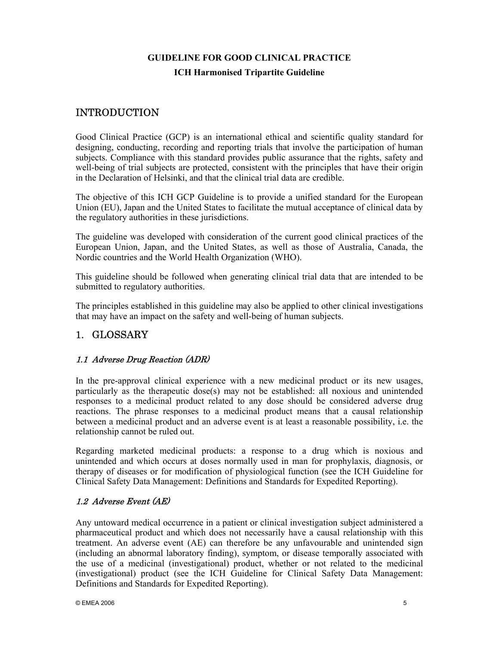# **GUIDELINE FOR GOOD CLINICAL PRACTICE ICH Harmonised Tripartite Guideline**

# INTRODUCTION

Good Clinical Practice (GCP) is an international ethical and scientific quality standard for designing, conducting, recording and reporting trials that involve the participation of human subjects. Compliance with this standard provides public assurance that the rights, safety and well-being of trial subjects are protected, consistent with the principles that have their origin in the Declaration of Helsinki, and that the clinical trial data are credible.

The objective of this ICH GCP Guideline is to provide a unified standard for the European Union (EU), Japan and the United States to facilitate the mutual acceptance of clinical data by the regulatory authorities in these jurisdictions.

The guideline was developed with consideration of the current good clinical practices of the European Union, Japan, and the United States, as well as those of Australia, Canada, the Nordic countries and the World Health Organization (WHO).

This guideline should be followed when generating clinical trial data that are intended to be submitted to regulatory authorities.

The principles established in this guideline may also be applied to other clinical investigations that may have an impact on the safety and well-being of human subjects.

# 1. GLOSSARY

# 1.1 Adverse Drug Reaction (ADR)

In the pre-approval clinical experience with a new medicinal product or its new usages, particularly as the therapeutic dose(s) may not be established: all noxious and unintended responses to a medicinal product related to any dose should be considered adverse drug reactions. The phrase responses to a medicinal product means that a causal relationship between a medicinal product and an adverse event is at least a reasonable possibility, i.e. the relationship cannot be ruled out.

Regarding marketed medicinal products: a response to a drug which is noxious and unintended and which occurs at doses normally used in man for prophylaxis, diagnosis, or therapy of diseases or for modification of physiological function (see the ICH Guideline for Clinical Safety Data Management: Definitions and Standards for Expedited Reporting).

# 1.2 Adverse Event (AE)

Any untoward medical occurrence in a patient or clinical investigation subject administered a pharmaceutical product and which does not necessarily have a causal relationship with this treatment. An adverse event (AE) can therefore be any unfavourable and unintended sign (including an abnormal laboratory finding), symptom, or disease temporally associated with the use of a medicinal (investigational) product, whether or not related to the medicinal (investigational) product (see the ICH Guideline for Clinical Safety Data Management: Definitions and Standards for Expedited Reporting).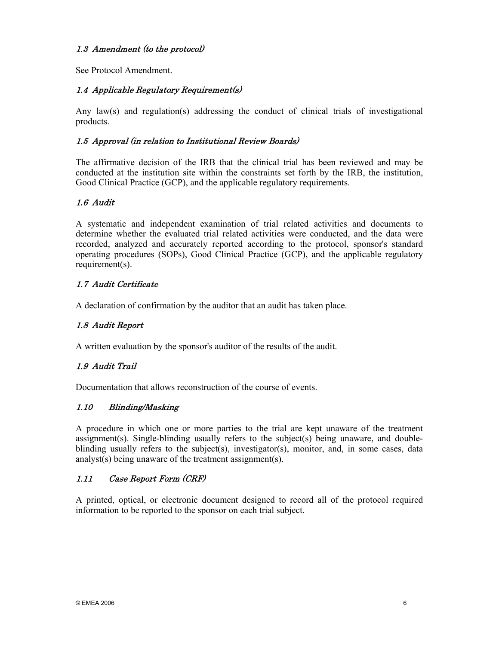## 1.3 Amendment (to the protocol)

See Protocol Amendment.

## 1.4 Applicable Regulatory Requirement(s)

Any law(s) and regulation(s) addressing the conduct of clinical trials of investigational products.

### 1.5 Approval (in relation to Institutional Review Boards)

The affirmative decision of the IRB that the clinical trial has been reviewed and may be conducted at the institution site within the constraints set forth by the IRB, the institution, Good Clinical Practice (GCP), and the applicable regulatory requirements.

### 1.6 Audit

A systematic and independent examination of trial related activities and documents to determine whether the evaluated trial related activities were conducted, and the data were recorded, analyzed and accurately reported according to the protocol, sponsor's standard operating procedures (SOPs), Good Clinical Practice (GCP), and the applicable regulatory requirement(s).

### 1.7 Audit Certificate

A declaration of confirmation by the auditor that an audit has taken place.

### 1.8 Audit Report

A written evaluation by the sponsor's auditor of the results of the audit.

### 1.9 Audit Trail

Documentation that allows reconstruction of the course of events.

### 1.10 Blinding/Masking

A procedure in which one or more parties to the trial are kept unaware of the treatment assignment(s). Single-blinding usually refers to the subject(s) being unaware, and doubleblinding usually refers to the subject(s), investigator(s), monitor, and, in some cases, data analyst(s) being unaware of the treatment assignment(s).

### 1.11 Case Report Form (CRF)

A printed, optical, or electronic document designed to record all of the protocol required information to be reported to the sponsor on each trial subject.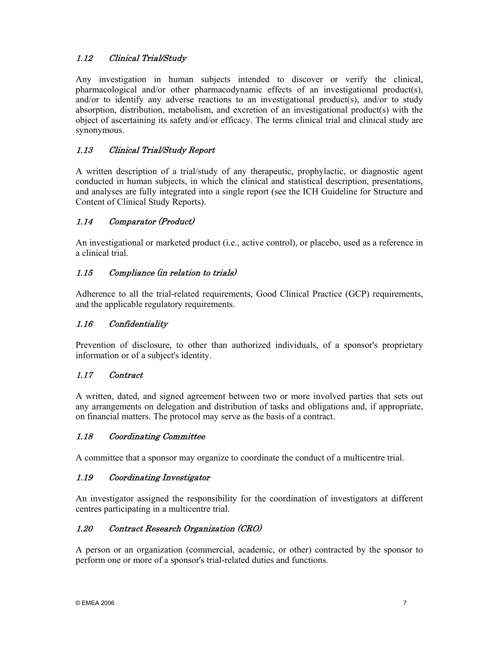# 1.12 Clinical Trial/Study

Any investigation in human subjects intended to discover or verify the clinical, pharmacological and/or other pharmacodynamic effects of an investigational product(s), and/or to identify any adverse reactions to an investigational product(s), and/or to study absorption, distribution, metabolism, and excretion of an investigational product(s) with the object of ascertaining its safety and/or efficacy. The terms clinical trial and clinical study are synonymous.

## 1.13 Clinical Trial/Study Report

A written description of a trial/study of any therapeutic, prophylactic, or diagnostic agent conducted in human subjects, in which the clinical and statistical description, presentations, and analyses are fully integrated into a single report (see the ICH Guideline for Structure and Content of Clinical Study Reports).

## 1.14 Comparator (Product)

An investigational or marketed product (i.e., active control), or placebo, used as a reference in a clinical trial.

## 1.15 Compliance (in relation to trials)

Adherence to all the trial-related requirements, Good Clinical Practice (GCP) requirements, and the applicable regulatory requirements.

### 1.16 Confidentiality

Prevention of disclosure, to other than authorized individuals, of a sponsor's proprietary information or of a subject's identity.

### 1.17 Contract

A written, dated, and signed agreement between two or more involved parties that sets out any arrangements on delegation and distribution of tasks and obligations and, if appropriate, on financial matters. The protocol may serve as the basis of a contract.

### 1.18 Coordinating Committee

A committee that a sponsor may organize to coordinate the conduct of a multicentre trial.

### 1.19 Coordinating Investigator

An investigator assigned the responsibility for the coordination of investigators at different centres participating in a multicentre trial.

# 1.20 Contract Research Organization (CRO)

A person or an organization (commercial, academic, or other) contracted by the sponsor to perform one or more of a sponsor's trial-related duties and functions.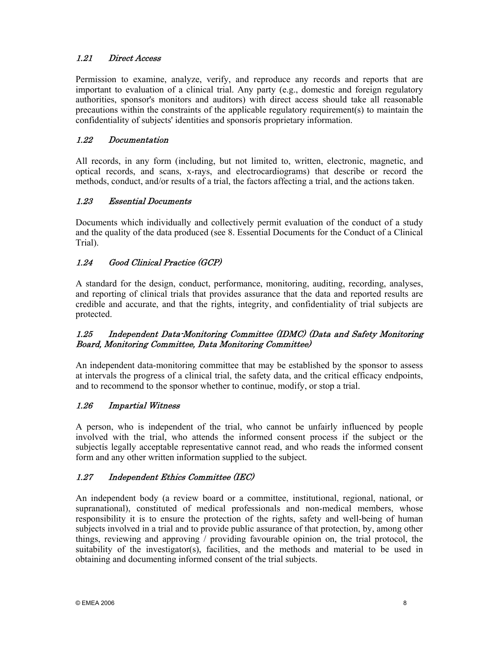# 1.21 Direct Access

Permission to examine, analyze, verify, and reproduce any records and reports that are important to evaluation of a clinical trial. Any party (e.g., domestic and foreign regulatory authorities, sponsor's monitors and auditors) with direct access should take all reasonable precautions within the constraints of the applicable regulatory requirement(s) to maintain the confidentiality of subjects' identities and sponsorís proprietary information.

### 1.22 Documentation

All records, in any form (including, but not limited to, written, electronic, magnetic, and optical records, and scans, x-rays, and electrocardiograms) that describe or record the methods, conduct, and/or results of a trial, the factors affecting a trial, and the actions taken.

#### 1.23 Essential Documents

Documents which individually and collectively permit evaluation of the conduct of a study and the quality of the data produced (see 8. Essential Documents for the Conduct of a Clinical Trial).

## 1.24 Good Clinical Practice (GCP)

A standard for the design, conduct, performance, monitoring, auditing, recording, analyses, and reporting of clinical trials that provides assurance that the data and reported results are credible and accurate, and that the rights, integrity, and confidentiality of trial subjects are protected.

### 1.25 Independent Data-Monitoring Committee (IDMC) (Data and Safety Monitoring Board, Monitoring Committee, Data Monitoring Committee)

An independent data-monitoring committee that may be established by the sponsor to assess at intervals the progress of a clinical trial, the safety data, and the critical efficacy endpoints, and to recommend to the sponsor whether to continue, modify, or stop a trial.

### 1.26 Impartial Witness

A person, who is independent of the trial, who cannot be unfairly influenced by people involved with the trial, who attends the informed consent process if the subject or the subjectís legally acceptable representative cannot read, and who reads the informed consent form and any other written information supplied to the subject.

### 1.27 Independent Ethics Committee (IEC)

An independent body (a review board or a committee, institutional, regional, national, or supranational), constituted of medical professionals and non-medical members, whose responsibility it is to ensure the protection of the rights, safety and well-being of human subjects involved in a trial and to provide public assurance of that protection, by, among other things, reviewing and approving / providing favourable opinion on, the trial protocol, the suitability of the investigator(s), facilities, and the methods and material to be used in obtaining and documenting informed consent of the trial subjects.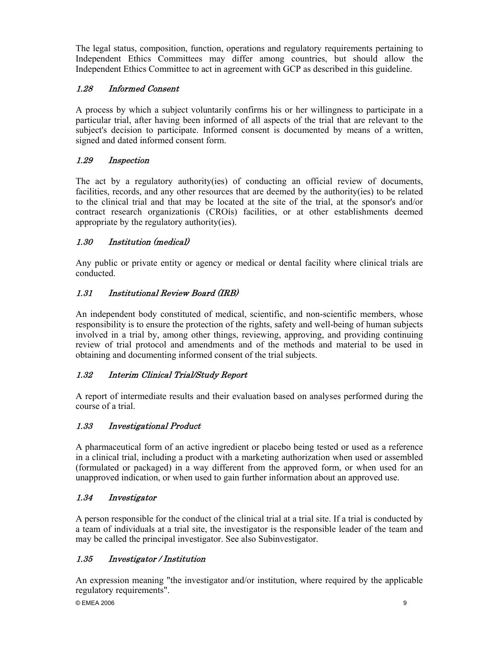The legal status, composition, function, operations and regulatory requirements pertaining to Independent Ethics Committees may differ among countries, but should allow the Independent Ethics Committee to act in agreement with GCP as described in this guideline.

# 1.28 Informed Consent

A process by which a subject voluntarily confirms his or her willingness to participate in a particular trial, after having been informed of all aspects of the trial that are relevant to the subject's decision to participate. Informed consent is documented by means of a written, signed and dated informed consent form.

# 1.29 Inspection

The act by a regulatory authority(ies) of conducting an official review of documents, facilities, records, and any other resources that are deemed by the authority(ies) to be related to the clinical trial and that may be located at the site of the trial, at the sponsor's and/or contract research organizationís (CROís) facilities, or at other establishments deemed appropriate by the regulatory authority(ies).

# 1.30 Institution (medical)

Any public or private entity or agency or medical or dental facility where clinical trials are conducted.

# 1.31 Institutional Review Board (IRB)

An independent body constituted of medical, scientific, and non-scientific members, whose responsibility is to ensure the protection of the rights, safety and well-being of human subjects involved in a trial by, among other things, reviewing, approving, and providing continuing review of trial protocol and amendments and of the methods and material to be used in obtaining and documenting informed consent of the trial subjects.

# 1.32 Interim Clinical Trial/Study Report

A report of intermediate results and their evaluation based on analyses performed during the course of a trial.

# 1.33 Investigational Product

A pharmaceutical form of an active ingredient or placebo being tested or used as a reference in a clinical trial, including a product with a marketing authorization when used or assembled (formulated or packaged) in a way different from the approved form, or when used for an unapproved indication, or when used to gain further information about an approved use.

# 1.34 Investigator

A person responsible for the conduct of the clinical trial at a trial site. If a trial is conducted by a team of individuals at a trial site, the investigator is the responsible leader of the team and may be called the principal investigator. See also Subinvestigator.

# 1.35 Investigator / Institution

An expression meaning "the investigator and/or institution, where required by the applicable regulatory requirements".

 $@$  EMEA 2006  $@$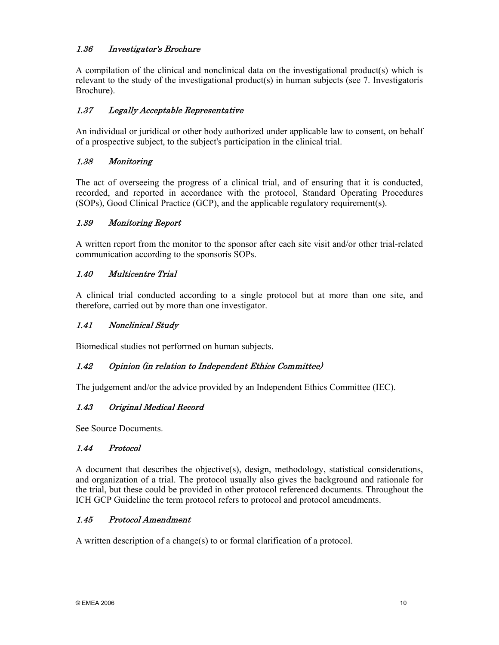## 1.36 Investigator's Brochure

A compilation of the clinical and nonclinical data on the investigational product(s) which is relevant to the study of the investigational product(s) in human subjects (see 7. Investigatorís Brochure).

## 1.37 Legally Acceptable Representative

An individual or juridical or other body authorized under applicable law to consent, on behalf of a prospective subject, to the subject's participation in the clinical trial.

## 1.38 Monitoring

The act of overseeing the progress of a clinical trial, and of ensuring that it is conducted, recorded, and reported in accordance with the protocol, Standard Operating Procedures (SOPs), Good Clinical Practice (GCP), and the applicable regulatory requirement(s).

### 1.39 Monitoring Report

A written report from the monitor to the sponsor after each site visit and/or other trial-related communication according to the sponsorís SOPs.

### 1.40 Multicentre Trial

A clinical trial conducted according to a single protocol but at more than one site, and therefore, carried out by more than one investigator.

#### 1.41 Nonclinical Study

Biomedical studies not performed on human subjects.

#### 1.42 Opinion (in relation to Independent Ethics Committee)

The judgement and/or the advice provided by an Independent Ethics Committee (IEC).

### 1.43 Original Medical Record

See Source Documents.

### 1.44 Protocol

A document that describes the objective(s), design, methodology, statistical considerations, and organization of a trial. The protocol usually also gives the background and rationale for the trial, but these could be provided in other protocol referenced documents. Throughout the ICH GCP Guideline the term protocol refers to protocol and protocol amendments.

#### 1.45 Protocol Amendment

A written description of a change(s) to or formal clarification of a protocol.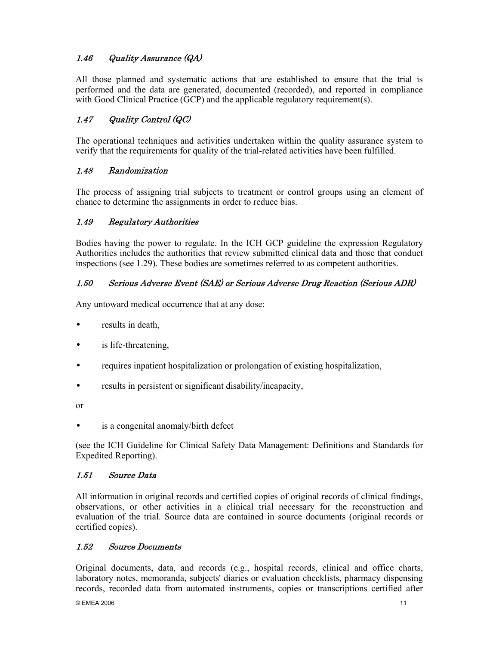# 1.46 Quality Assurance (QA)

All those planned and systematic actions that are established to ensure that the trial is performed and the data are generated, documented (recorded), and reported in compliance with Good Clinical Practice (GCP) and the applicable regulatory requirement(s).

# 1.47 Quality Control (QC)

The operational techniques and activities undertaken within the quality assurance system to verify that the requirements for quality of the trial-related activities have been fulfilled.

# 1.48 Randomization

The process of assigning trial subjects to treatment or control groups using an element of chance to determine the assignments in order to reduce bias.

# 1.49 Regulatory Authorities

Bodies having the power to regulate. In the ICH GCP guideline the expression Regulatory Authorities includes the authorities that review submitted clinical data and those that conduct inspections (see 1.29). These bodies are sometimes referred to as competent authorities.

# 1.50 Serious Adverse Event (SAE) or Serious Adverse Drug Reaction (Serious ADR)

Any untoward medical occurrence that at any dose:

- results in death.
- is life-threatening,
- requires inpatient hospitalization or prolongation of existing hospitalization,
- results in persistent or significant disability/incapacity,

or

• is a congenital anomaly/birth defect

(see the ICH Guideline for Clinical Safety Data Management: Definitions and Standards for Expedited Reporting).

# 1.51 Source Data

All information in original records and certified copies of original records of clinical findings, observations, or other activities in a clinical trial necessary for the reconstruction and evaluation of the trial. Source data are contained in source documents (original records or certified copies).

# 1.52 Source Documents

Original documents, data, and records (e.g., hospital records, clinical and office charts, laboratory notes, memoranda, subjects' diaries or evaluation checklists, pharmacy dispensing records, recorded data from automated instruments, copies or transcriptions certified after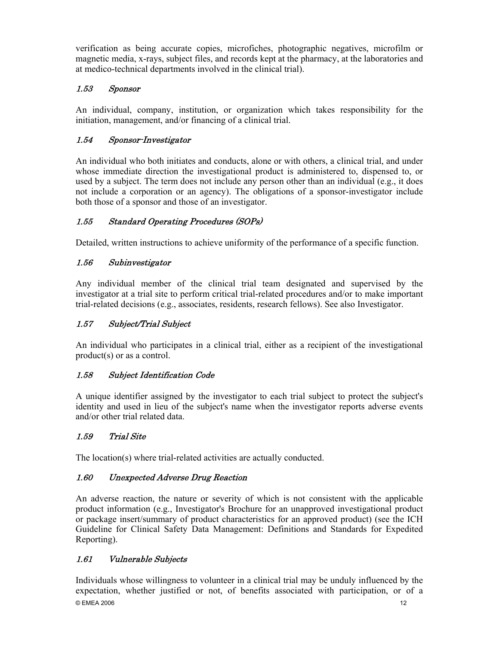verification as being accurate copies, microfiches, photographic negatives, microfilm or magnetic media, x-rays, subject files, and records kept at the pharmacy, at the laboratories and at medico-technical departments involved in the clinical trial).

# 1.53 Sponsor

An individual, company, institution, or organization which takes responsibility for the initiation, management, and/or financing of a clinical trial.

# 1.54 Sponsor-Investigator

An individual who both initiates and conducts, alone or with others, a clinical trial, and under whose immediate direction the investigational product is administered to, dispensed to, or used by a subject. The term does not include any person other than an individual (e.g., it does not include a corporation or an agency). The obligations of a sponsor-investigator include both those of a sponsor and those of an investigator.

# 1.55 Standard Operating Procedures (SOPs)

Detailed, written instructions to achieve uniformity of the performance of a specific function.

# 1.56 Subinvestigator

Any individual member of the clinical trial team designated and supervised by the investigator at a trial site to perform critical trial-related procedures and/or to make important trial-related decisions (e.g., associates, residents, research fellows). See also Investigator.

# 1.57 Subject/Trial Subject

An individual who participates in a clinical trial, either as a recipient of the investigational product(s) or as a control.

# 1.58 Subject Identification Code

A unique identifier assigned by the investigator to each trial subject to protect the subject's identity and used in lieu of the subject's name when the investigator reports adverse events and/or other trial related data.

# 1.59 Trial Site

The location(s) where trial-related activities are actually conducted.

# 1.60 Unexpected Adverse Drug Reaction

An adverse reaction, the nature or severity of which is not consistent with the applicable product information (e.g., Investigator's Brochure for an unapproved investigational product or package insert/summary of product characteristics for an approved product) (see the ICH Guideline for Clinical Safety Data Management: Definitions and Standards for Expedited Reporting).

# 1.61 Vulnerable Subjects

 $@$  EMEA 2006  $12$ Individuals whose willingness to volunteer in a clinical trial may be unduly influenced by the expectation, whether justified or not, of benefits associated with participation, or of a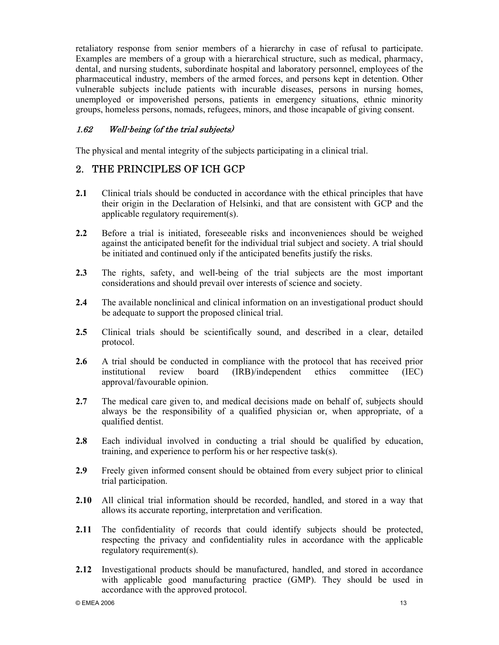retaliatory response from senior members of a hierarchy in case of refusal to participate. Examples are members of a group with a hierarchical structure, such as medical, pharmacy, dental, and nursing students, subordinate hospital and laboratory personnel, employees of the pharmaceutical industry, members of the armed forces, and persons kept in detention. Other vulnerable subjects include patients with incurable diseases, persons in nursing homes, unemployed or impoverished persons, patients in emergency situations, ethnic minority groups, homeless persons, nomads, refugees, minors, and those incapable of giving consent.

# 1.62 Well-being (of the trial subjects)

The physical and mental integrity of the subjects participating in a clinical trial.

# 2. THE PRINCIPLES OF ICH GCP

- **2.1** Clinical trials should be conducted in accordance with the ethical principles that have their origin in the Declaration of Helsinki, and that are consistent with GCP and the applicable regulatory requirement(s).
- **2.2** Before a trial is initiated, foreseeable risks and inconveniences should be weighed against the anticipated benefit for the individual trial subject and society. A trial should be initiated and continued only if the anticipated benefits justify the risks.
- **2.3** The rights, safety, and well-being of the trial subjects are the most important considerations and should prevail over interests of science and society.
- **2.4** The available nonclinical and clinical information on an investigational product should be adequate to support the proposed clinical trial.
- 2.5 Clinical trials should be scientifically sound, and described in a clear, detailed protocol.
- **2.6** A trial should be conducted in compliance with the protocol that has received prior institutional review board (IRB)/independent ethics committee (IEC) approval/favourable opinion.
- **2.7** The medical care given to, and medical decisions made on behalf of, subjects should always be the responsibility of a qualified physician or, when appropriate, of a qualified dentist.
- **2.8** Each individual involved in conducting a trial should be qualified by education, training, and experience to perform his or her respective task(s).
- **2.9** Freely given informed consent should be obtained from every subject prior to clinical trial participation.
- **2.10** All clinical trial information should be recorded, handled, and stored in a way that allows its accurate reporting, interpretation and verification.
- **2.11** The confidentiality of records that could identify subjects should be protected, respecting the privacy and confidentiality rules in accordance with the applicable regulatory requirement(s).
- **2.12** Investigational products should be manufactured, handled, and stored in accordance with applicable good manufacturing practice (GMP). They should be used in accordance with the approved protocol.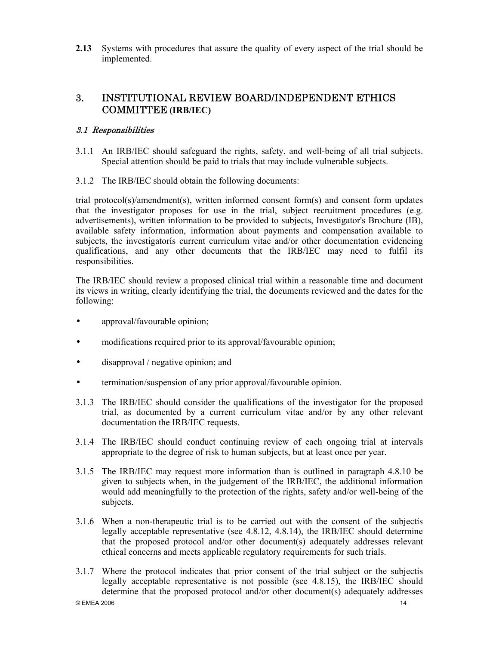**2.13** Systems with procedures that assure the quality of every aspect of the trial should be implemented.

# 3. INSTITUTIONAL REVIEW BOARD/INDEPENDENT ETHICS COMMITTEE **(IRB/IEC)**

## 3.1 Responsibilities

- 3.1.1 An IRB/IEC should safeguard the rights, safety, and well-being of all trial subjects. Special attention should be paid to trials that may include vulnerable subjects.
- 3.1.2 The IRB/IEC should obtain the following documents:

trial protocol(s)/amendment(s), written informed consent form(s) and consent form updates that the investigator proposes for use in the trial, subject recruitment procedures (e.g. advertisements), written information to be provided to subjects, Investigator's Brochure (IB), available safety information, information about payments and compensation available to subjects, the investigatorís current curriculum vitae and/or other documentation evidencing qualifications, and any other documents that the IRB/IEC may need to fulfil its responsibilities.

The IRB/IEC should review a proposed clinical trial within a reasonable time and document its views in writing, clearly identifying the trial, the documents reviewed and the dates for the following:

- approval/favourable opinion;
- modifications required prior to its approval/favourable opinion;
- disapproval / negative opinion; and
- termination/suspension of any prior approval/favourable opinion.
- 3.1.3 The IRB/IEC should consider the qualifications of the investigator for the proposed trial, as documented by a current curriculum vitae and/or by any other relevant documentation the IRB/IEC requests.
- 3.1.4 The IRB/IEC should conduct continuing review of each ongoing trial at intervals appropriate to the degree of risk to human subjects, but at least once per year.
- 3.1.5 The IRB/IEC may request more information than is outlined in paragraph 4.8.10 be given to subjects when, in the judgement of the IRB/IEC, the additional information would add meaningfully to the protection of the rights, safety and/or well-being of the subjects.
- 3.1.6 When a non-therapeutic trial is to be carried out with the consent of the subjectís legally acceptable representative (see 4.8.12, 4.8.14), the IRB/IEC should determine that the proposed protocol and/or other document(s) adequately addresses relevant ethical concerns and meets applicable regulatory requirements for such trials.
- 3.1.7 Where the protocol indicates that prior consent of the trial subject or the subjectís legally acceptable representative is not possible (see 4.8.15), the IRB/IEC should determine that the proposed protocol and/or other document(s) adequately addresses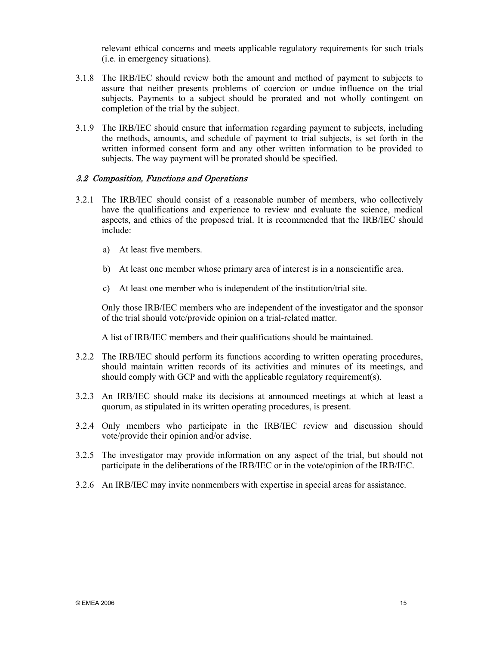relevant ethical concerns and meets applicable regulatory requirements for such trials (i.e. in emergency situations).

- 3.1.8 The IRB/IEC should review both the amount and method of payment to subjects to assure that neither presents problems of coercion or undue influence on the trial subjects. Payments to a subject should be prorated and not wholly contingent on completion of the trial by the subject.
- 3.1.9 The IRB/IEC should ensure that information regarding payment to subjects, including the methods, amounts, and schedule of payment to trial subjects, is set forth in the written informed consent form and any other written information to be provided to subjects. The way payment will be prorated should be specified.

#### 3.2 Composition, Functions and Operations

- 3.2.1 The IRB/IEC should consist of a reasonable number of members, who collectively have the qualifications and experience to review and evaluate the science, medical aspects, and ethics of the proposed trial. It is recommended that the IRB/IEC should include:
	- a) At least five members.
	- b) At least one member whose primary area of interest is in a nonscientific area.
	- c) At least one member who is independent of the institution/trial site.

Only those IRB/IEC members who are independent of the investigator and the sponsor of the trial should vote/provide opinion on a trial-related matter.

A list of IRB/IEC members and their qualifications should be maintained.

- 3.2.2 The IRB/IEC should perform its functions according to written operating procedures, should maintain written records of its activities and minutes of its meetings, and should comply with GCP and with the applicable regulatory requirement(s).
- 3.2.3 An IRB/IEC should make its decisions at announced meetings at which at least a quorum, as stipulated in its written operating procedures, is present.
- 3.2.4 Only members who participate in the IRB/IEC review and discussion should vote/provide their opinion and/or advise.
- 3.2.5 The investigator may provide information on any aspect of the trial, but should not participate in the deliberations of the IRB/IEC or in the vote/opinion of the IRB/IEC.
- 3.2.6 An IRB/IEC may invite nonmembers with expertise in special areas for assistance.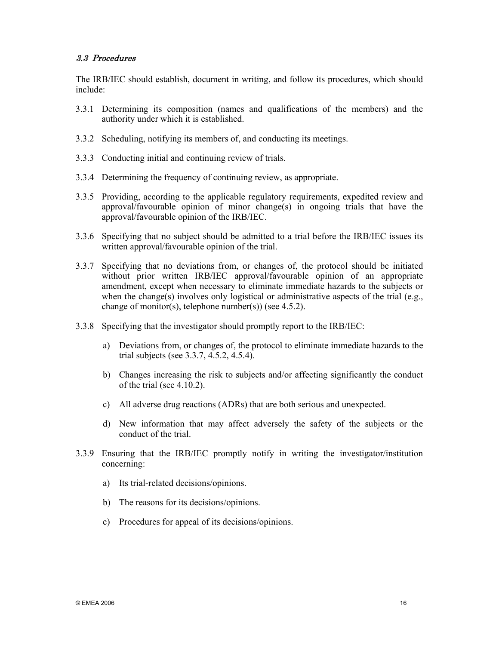#### 3.3 Procedures

The IRB/IEC should establish, document in writing, and follow its procedures, which should include:

- 3.3.1 Determining its composition (names and qualifications of the members) and the authority under which it is established.
- 3.3.2 Scheduling, notifying its members of, and conducting its meetings.
- 3.3.3 Conducting initial and continuing review of trials.
- 3.3.4 Determining the frequency of continuing review, as appropriate.
- 3.3.5 Providing, according to the applicable regulatory requirements, expedited review and approval/favourable opinion of minor change(s) in ongoing trials that have the approval/favourable opinion of the IRB/IEC.
- 3.3.6 Specifying that no subject should be admitted to a trial before the IRB/IEC issues its written approval/favourable opinion of the trial.
- 3.3.7 Specifying that no deviations from, or changes of, the protocol should be initiated without prior written IRB/IEC approval/favourable opinion of an appropriate amendment, except when necessary to eliminate immediate hazards to the subjects or when the change(s) involves only logistical or administrative aspects of the trial (e.g., change of monitor(s), telephone number(s)) (see  $4.5.2$ ).
- 3.3.8 Specifying that the investigator should promptly report to the IRB/IEC:
	- a) Deviations from, or changes of, the protocol to eliminate immediate hazards to the trial subjects (see 3.3.7, 4.5.2, 4.5.4).
	- b) Changes increasing the risk to subjects and/or affecting significantly the conduct of the trial (see 4.10.2).
	- c) All adverse drug reactions (ADRs) that are both serious and unexpected.
	- d) New information that may affect adversely the safety of the subjects or the conduct of the trial.
- 3.3.9 Ensuring that the IRB/IEC promptly notify in writing the investigator/institution concerning:
	- a) Its trial-related decisions/opinions.
	- b) The reasons for its decisions/opinions.
	- c) Procedures for appeal of its decisions/opinions.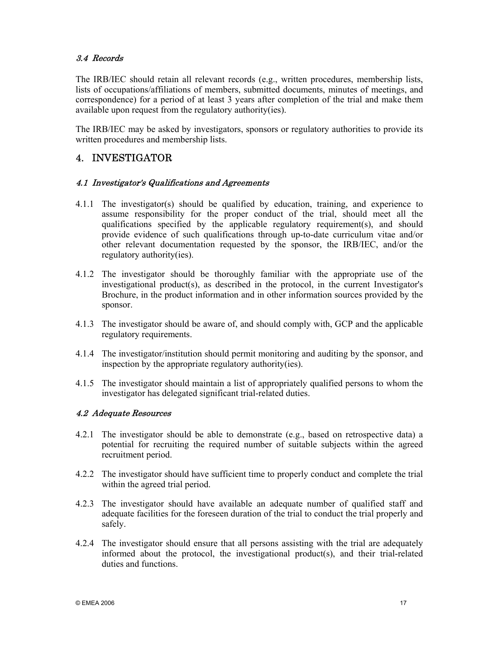## 3.4 Records

The IRB/IEC should retain all relevant records (e.g., written procedures, membership lists, lists of occupations/affiliations of members, submitted documents, minutes of meetings, and correspondence) for a period of at least 3 years after completion of the trial and make them available upon request from the regulatory authority(ies).

The IRB/IEC may be asked by investigators, sponsors or regulatory authorities to provide its written procedures and membership lists.

# 4. INVESTIGATOR

#### 4.1 Investigator's Qualifications and Agreements

- 4.1.1 The investigator(s) should be qualified by education, training, and experience to assume responsibility for the proper conduct of the trial, should meet all the qualifications specified by the applicable regulatory requirement(s), and should provide evidence of such qualifications through up-to-date curriculum vitae and/or other relevant documentation requested by the sponsor, the IRB/IEC, and/or the regulatory authority(ies).
- 4.1.2 The investigator should be thoroughly familiar with the appropriate use of the investigational product(s), as described in the protocol, in the current Investigator's Brochure, in the product information and in other information sources provided by the sponsor.
- 4.1.3 The investigator should be aware of, and should comply with, GCP and the applicable regulatory requirements.
- 4.1.4 The investigator/institution should permit monitoring and auditing by the sponsor, and inspection by the appropriate regulatory authority(ies).
- 4.1.5 The investigator should maintain a list of appropriately qualified persons to whom the investigator has delegated significant trial-related duties.

#### 4.2 Adequate Resources

- 4.2.1 The investigator should be able to demonstrate (e.g., based on retrospective data) a potential for recruiting the required number of suitable subjects within the agreed recruitment period.
- 4.2.2 The investigator should have sufficient time to properly conduct and complete the trial within the agreed trial period.
- 4.2.3 The investigator should have available an adequate number of qualified staff and adequate facilities for the foreseen duration of the trial to conduct the trial properly and safely.
- 4.2.4 The investigator should ensure that all persons assisting with the trial are adequately informed about the protocol, the investigational product(s), and their trial-related duties and functions.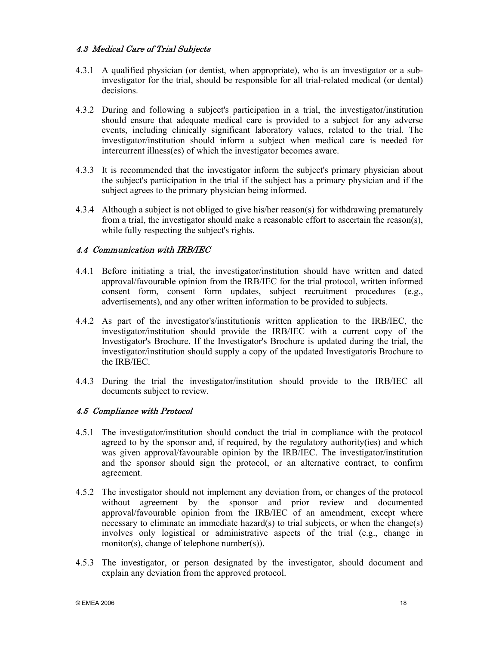#### 4.3 Medical Care of Trial Subjects

- 4.3.1 A qualified physician (or dentist, when appropriate), who is an investigator or a subinvestigator for the trial, should be responsible for all trial-related medical (or dental) decisions.
- 4.3.2 During and following a subject's participation in a trial, the investigator/institution should ensure that adequate medical care is provided to a subject for any adverse events, including clinically significant laboratory values, related to the trial. The investigator/institution should inform a subject when medical care is needed for intercurrent illness(es) of which the investigator becomes aware.
- 4.3.3 It is recommended that the investigator inform the subject's primary physician about the subject's participation in the trial if the subject has a primary physician and if the subject agrees to the primary physician being informed.
- 4.3.4 Although a subject is not obliged to give his/her reason(s) for withdrawing prematurely from a trial, the investigator should make a reasonable effort to ascertain the reason(s), while fully respecting the subject's rights.

#### 4.4 Communication with IRB/IEC

- 4.4.1 Before initiating a trial, the investigator/institution should have written and dated approval/favourable opinion from the IRB/IEC for the trial protocol, written informed consent form, consent form updates, subject recruitment procedures (e.g., advertisements), and any other written information to be provided to subjects.
- 4.4.2 As part of the investigator's/institutionís written application to the IRB/IEC, the investigator/institution should provide the IRB/IEC with a current copy of the Investigator's Brochure. If the Investigator's Brochure is updated during the trial, the investigator/institution should supply a copy of the updated Investigatorís Brochure to the IRB/IEC.
- 4.4.3 During the trial the investigator/institution should provide to the IRB/IEC all documents subject to review.

#### 4.5 Compliance with Protocol

- 4.5.1 The investigator/institution should conduct the trial in compliance with the protocol agreed to by the sponsor and, if required, by the regulatory authority(ies) and which was given approval/favourable opinion by the IRB/IEC. The investigator/institution and the sponsor should sign the protocol, or an alternative contract, to confirm agreement.
- 4.5.2 The investigator should not implement any deviation from, or changes of the protocol without agreement by the sponsor and prior review and documented approval/favourable opinion from the IRB/IEC of an amendment, except where necessary to eliminate an immediate hazard $(s)$  to trial subjects, or when the change $(s)$ involves only logistical or administrative aspects of the trial (e.g., change in monitor(s), change of telephone number(s)).
- 4.5.3 The investigator, or person designated by the investigator, should document and explain any deviation from the approved protocol.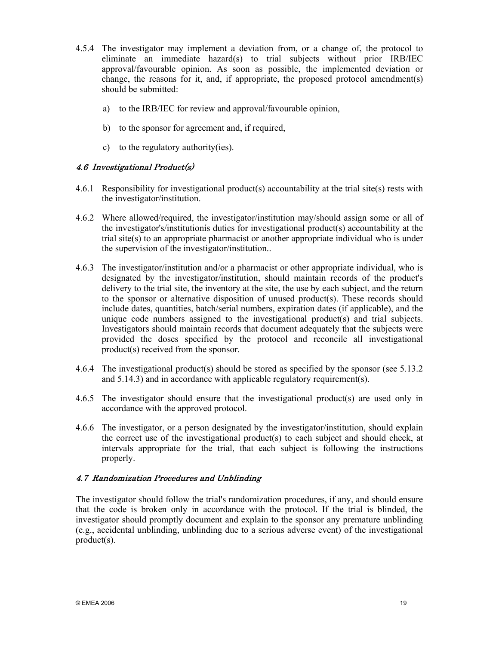- 4.5.4 The investigator may implement a deviation from, or a change of, the protocol to eliminate an immediate hazard(s) to trial subjects without prior IRB/IEC approval/favourable opinion. As soon as possible, the implemented deviation or change, the reasons for it, and, if appropriate, the proposed protocol amendment(s) should be submitted:
	- a) to the IRB/IEC for review and approval/favourable opinion,
	- b) to the sponsor for agreement and, if required,
	- c) to the regulatory authority(ies).

#### 4.6 Investigational Product(s)

- 4.6.1 Responsibility for investigational product(s) accountability at the trial site(s) rests with the investigator/institution.
- 4.6.2 Where allowed/required, the investigator/institution may/should assign some or all of the investigator's/institutionís duties for investigational product(s) accountability at the trial site(s) to an appropriate pharmacist or another appropriate individual who is under the supervision of the investigator/institution..
- 4.6.3 The investigator/institution and/or a pharmacist or other appropriate individual, who is designated by the investigator/institution, should maintain records of the product's delivery to the trial site, the inventory at the site, the use by each subject, and the return to the sponsor or alternative disposition of unused product(s). These records should include dates, quantities, batch/serial numbers, expiration dates (if applicable), and the unique code numbers assigned to the investigational product(s) and trial subjects. Investigators should maintain records that document adequately that the subjects were provided the doses specified by the protocol and reconcile all investigational product(s) received from the sponsor.
- 4.6.4 The investigational product(s) should be stored as specified by the sponsor (see 5.13.2) and 5.14.3) and in accordance with applicable regulatory requirement(s).
- 4.6.5 The investigator should ensure that the investigational product(s) are used only in accordance with the approved protocol.
- 4.6.6 The investigator, or a person designated by the investigator/institution, should explain the correct use of the investigational product(s) to each subject and should check, at intervals appropriate for the trial, that each subject is following the instructions properly.

### 4.7 Randomization Procedures and Unblinding

The investigator should follow the trial's randomization procedures, if any, and should ensure that the code is broken only in accordance with the protocol. If the trial is blinded, the investigator should promptly document and explain to the sponsor any premature unblinding (e.g., accidental unblinding, unblinding due to a serious adverse event) of the investigational product(s).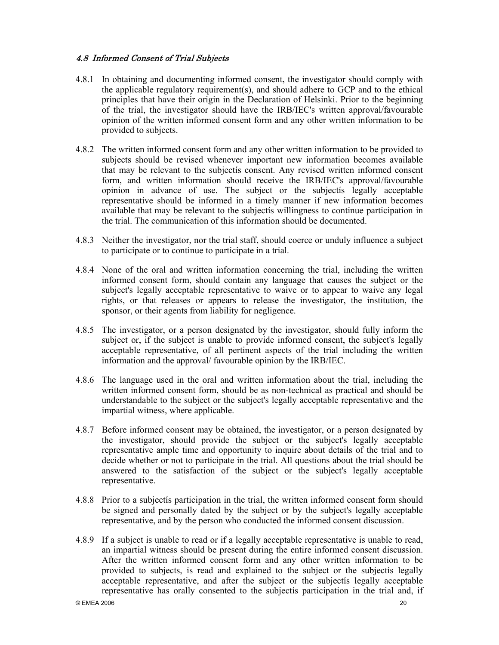#### 4.8 Informed Consent of Trial Subjects

- 4.8.1 In obtaining and documenting informed consent, the investigator should comply with the applicable regulatory requirement(s), and should adhere to GCP and to the ethical principles that have their origin in the Declaration of Helsinki. Prior to the beginning of the trial, the investigator should have the IRB/IEC's written approval/favourable opinion of the written informed consent form and any other written information to be provided to subjects.
- 4.8.2 The written informed consent form and any other written information to be provided to subjects should be revised whenever important new information becomes available that may be relevant to the subjectís consent. Any revised written informed consent form, and written information should receive the IRB/IEC's approval/favourable opinion in advance of use. The subject or the subjectís legally acceptable representative should be informed in a timely manner if new information becomes available that may be relevant to the subjectís willingness to continue participation in the trial. The communication of this information should be documented.
- 4.8.3 Neither the investigator, nor the trial staff, should coerce or unduly influence a subject to participate or to continue to participate in a trial.
- 4.8.4 None of the oral and written information concerning the trial, including the written informed consent form, should contain any language that causes the subject or the subject's legally acceptable representative to waive or to appear to waive any legal rights, or that releases or appears to release the investigator, the institution, the sponsor, or their agents from liability for negligence.
- 4.8.5 The investigator, or a person designated by the investigator, should fully inform the subject or, if the subject is unable to provide informed consent, the subject's legally acceptable representative, of all pertinent aspects of the trial including the written information and the approval/ favourable opinion by the IRB/IEC.
- 4.8.6 The language used in the oral and written information about the trial, including the written informed consent form, should be as non-technical as practical and should be understandable to the subject or the subject's legally acceptable representative and the impartial witness, where applicable.
- 4.8.7 Before informed consent may be obtained, the investigator, or a person designated by the investigator, should provide the subject or the subject's legally acceptable representative ample time and opportunity to inquire about details of the trial and to decide whether or not to participate in the trial. All questions about the trial should be answered to the satisfaction of the subject or the subject's legally acceptable representative.
- 4.8.8 Prior to a subjectís participation in the trial, the written informed consent form should be signed and personally dated by the subject or by the subject's legally acceptable representative, and by the person who conducted the informed consent discussion.
- 4.8.9 If a subject is unable to read or if a legally acceptable representative is unable to read, an impartial witness should be present during the entire informed consent discussion. After the written informed consent form and any other written information to be provided to subjects, is read and explained to the subject or the subjectís legally acceptable representative, and after the subject or the subjectís legally acceptable representative has orally consented to the subjectís participation in the trial and, if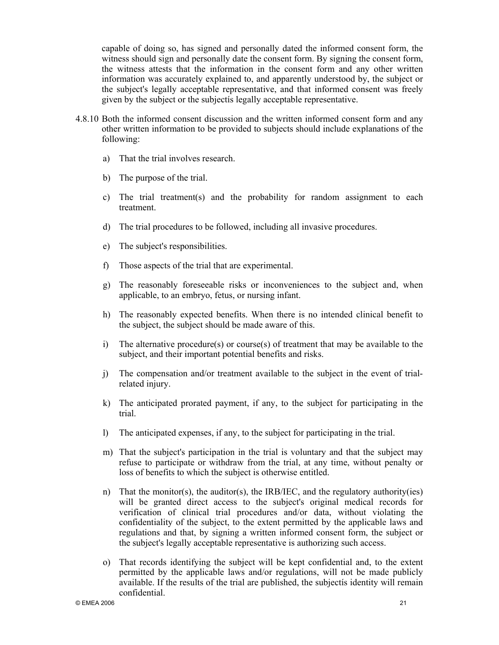capable of doing so, has signed and personally dated the informed consent form, the witness should sign and personally date the consent form. By signing the consent form, the witness attests that the information in the consent form and any other written information was accurately explained to, and apparently understood by, the subject or the subject's legally acceptable representative, and that informed consent was freely given by the subject or the subjectís legally acceptable representative.

- 4.8.10 Both the informed consent discussion and the written informed consent form and any other written information to be provided to subjects should include explanations of the following:
	- a) That the trial involves research.
	- b) The purpose of the trial.
	- c) The trial treatment(s) and the probability for random assignment to each treatment.
	- d) The trial procedures to be followed, including all invasive procedures.
	- e) The subject's responsibilities.
	- f) Those aspects of the trial that are experimental.
	- g) The reasonably foreseeable risks or inconveniences to the subject and, when applicable, to an embryo, fetus, or nursing infant.
	- h) The reasonably expected benefits. When there is no intended clinical benefit to the subject, the subject should be made aware of this.
	- i) The alternative procedure(s) or course(s) of treatment that may be available to the subject, and their important potential benefits and risks.
	- j) The compensation and/or treatment available to the subject in the event of trialrelated injury.
	- k) The anticipated prorated payment, if any, to the subject for participating in the trial.
	- l) The anticipated expenses, if any, to the subject for participating in the trial.
	- m) That the subject's participation in the trial is voluntary and that the subject may refuse to participate or withdraw from the trial, at any time, without penalty or loss of benefits to which the subject is otherwise entitled.
	- n) That the monitor(s), the auditor(s), the IRB/IEC, and the regulatory authority(ies) will be granted direct access to the subject's original medical records for verification of clinical trial procedures and/or data, without violating the confidentiality of the subject, to the extent permitted by the applicable laws and regulations and that, by signing a written informed consent form, the subject or the subject's legally acceptable representative is authorizing such access.
	- o) That records identifying the subject will be kept confidential and, to the extent permitted by the applicable laws and/or regulations, will not be made publicly available. If the results of the trial are published, the subjectís identity will remain confidential.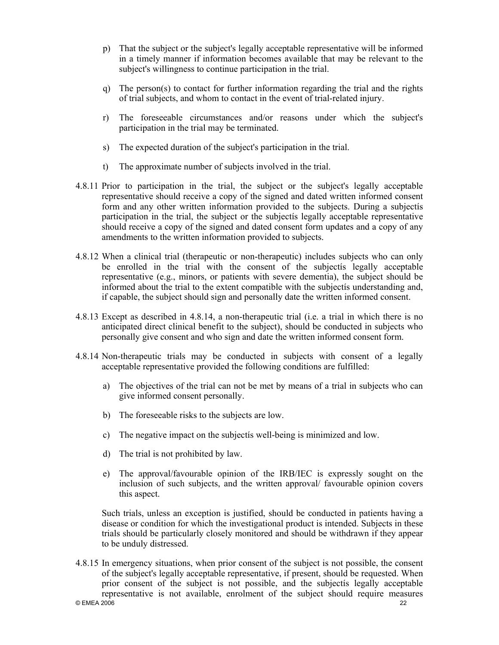- p) That the subject or the subject's legally acceptable representative will be informed in a timely manner if information becomes available that may be relevant to the subject's willingness to continue participation in the trial.
- q) The person(s) to contact for further information regarding the trial and the rights of trial subjects, and whom to contact in the event of trial-related injury.
- r) The foreseeable circumstances and/or reasons under which the subject's participation in the trial may be terminated.
- s) The expected duration of the subject's participation in the trial.
- t) The approximate number of subjects involved in the trial.
- 4.8.11 Prior to participation in the trial, the subject or the subject's legally acceptable representative should receive a copy of the signed and dated written informed consent form and any other written information provided to the subjects. During a subjectís participation in the trial, the subject or the subjectís legally acceptable representative should receive a copy of the signed and dated consent form updates and a copy of any amendments to the written information provided to subjects.
- 4.8.12 When a clinical trial (therapeutic or non-therapeutic) includes subjects who can only be enrolled in the trial with the consent of the subjectís legally acceptable representative (e.g., minors, or patients with severe dementia), the subject should be informed about the trial to the extent compatible with the subjectís understanding and, if capable, the subject should sign and personally date the written informed consent.
- 4.8.13 Except as described in 4.8.14, a non-therapeutic trial (i.e. a trial in which there is no anticipated direct clinical benefit to the subject), should be conducted in subjects who personally give consent and who sign and date the written informed consent form.
- 4.8.14 Non-therapeutic trials may be conducted in subjects with consent of a legally acceptable representative provided the following conditions are fulfilled:
	- a) The objectives of the trial can not be met by means of a trial in subjects who can give informed consent personally.
	- b) The foreseeable risks to the subjects are low.
	- c) The negative impact on the subjectís well-being is minimized and low.
	- d) The trial is not prohibited by law.
	- e) The approval/favourable opinion of the IRB/IEC is expressly sought on the inclusion of such subjects, and the written approval/ favourable opinion covers this aspect.

Such trials, unless an exception is justified, should be conducted in patients having a disease or condition for which the investigational product is intended. Subjects in these trials should be particularly closely monitored and should be withdrawn if they appear to be unduly distressed.

 $@$  EMEA 2006  $22$ 4.8.15 In emergency situations, when prior consent of the subject is not possible, the consent of the subject's legally acceptable representative, if present, should be requested. When prior consent of the subject is not possible, and the subjectís legally acceptable representative is not available, enrolment of the subject should require measures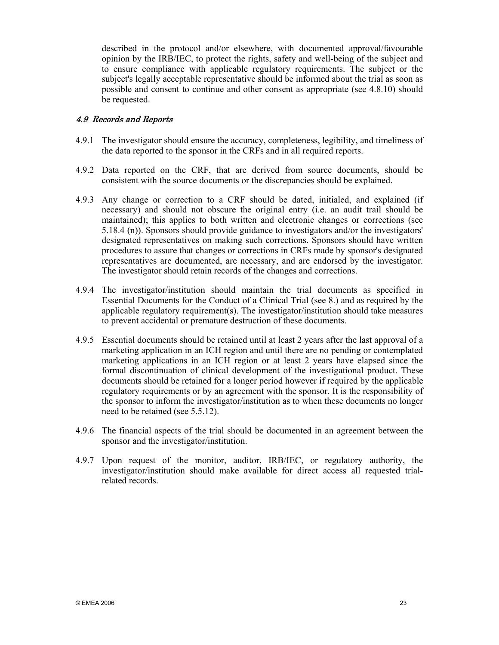described in the protocol and/or elsewhere, with documented approval/favourable opinion by the IRB/IEC, to protect the rights, safety and well-being of the subject and to ensure compliance with applicable regulatory requirements. The subject or the subject's legally acceptable representative should be informed about the trial as soon as possible and consent to continue and other consent as appropriate (see 4.8.10) should be requested.

#### 4.9 Records and Reports

- 4.9.1 The investigator should ensure the accuracy, completeness, legibility, and timeliness of the data reported to the sponsor in the CRFs and in all required reports.
- 4.9.2 Data reported on the CRF, that are derived from source documents, should be consistent with the source documents or the discrepancies should be explained.
- 4.9.3 Any change or correction to a CRF should be dated, initialed, and explained (if necessary) and should not obscure the original entry (i.e. an audit trail should be maintained); this applies to both written and electronic changes or corrections (see 5.18.4 (n)). Sponsors should provide guidance to investigators and/or the investigators' designated representatives on making such corrections. Sponsors should have written procedures to assure that changes or corrections in CRFs made by sponsor's designated representatives are documented, are necessary, and are endorsed by the investigator. The investigator should retain records of the changes and corrections.
- 4.9.4 The investigator/institution should maintain the trial documents as specified in Essential Documents for the Conduct of a Clinical Trial (see 8.) and as required by the applicable regulatory requirement(s). The investigator/institution should take measures to prevent accidental or premature destruction of these documents.
- 4.9.5 Essential documents should be retained until at least 2 years after the last approval of a marketing application in an ICH region and until there are no pending or contemplated marketing applications in an ICH region or at least 2 years have elapsed since the formal discontinuation of clinical development of the investigational product. These documents should be retained for a longer period however if required by the applicable regulatory requirements or by an agreement with the sponsor. It is the responsibility of the sponsor to inform the investigator/institution as to when these documents no longer need to be retained (see 5.5.12).
- 4.9.6 The financial aspects of the trial should be documented in an agreement between the sponsor and the investigator/institution.
- 4.9.7 Upon request of the monitor, auditor, IRB/IEC, or regulatory authority, the investigator/institution should make available for direct access all requested trialrelated records.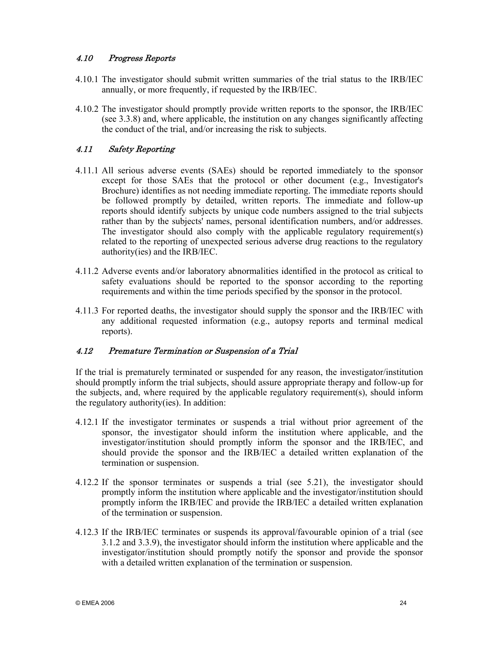## 4.10 Progress Reports

- 4.10.1 The investigator should submit written summaries of the trial status to the IRB/IEC annually, or more frequently, if requested by the IRB/IEC.
- 4.10.2 The investigator should promptly provide written reports to the sponsor, the IRB/IEC (see 3.3.8) and, where applicable, the institution on any changes significantly affecting the conduct of the trial, and/or increasing the risk to subjects.

### 4.11 Safety Reporting

- 4.11.1 All serious adverse events (SAEs) should be reported immediately to the sponsor except for those SAEs that the protocol or other document (e.g., Investigator's Brochure) identifies as not needing immediate reporting. The immediate reports should be followed promptly by detailed, written reports. The immediate and follow-up reports should identify subjects by unique code numbers assigned to the trial subjects rather than by the subjects' names, personal identification numbers, and/or addresses. The investigator should also comply with the applicable regulatory requirement(s) related to the reporting of unexpected serious adverse drug reactions to the regulatory authority(ies) and the IRB/IEC.
- 4.11.2 Adverse events and/or laboratory abnormalities identified in the protocol as critical to safety evaluations should be reported to the sponsor according to the reporting requirements and within the time periods specified by the sponsor in the protocol.
- 4.11.3 For reported deaths, the investigator should supply the sponsor and the IRB/IEC with any additional requested information (e.g., autopsy reports and terminal medical reports).

#### 4.12 Premature Termination or Suspension of a Trial

If the trial is prematurely terminated or suspended for any reason, the investigator/institution should promptly inform the trial subjects, should assure appropriate therapy and follow-up for the subjects, and, where required by the applicable regulatory requirement(s), should inform the regulatory authority(ies). In addition:

- 4.12.1 If the investigator terminates or suspends a trial without prior agreement of the sponsor, the investigator should inform the institution where applicable, and the investigator/institution should promptly inform the sponsor and the IRB/IEC, and should provide the sponsor and the IRB/IEC a detailed written explanation of the termination or suspension.
- 4.12.2 If the sponsor terminates or suspends a trial (see 5.21), the investigator should promptly inform the institution where applicable and the investigator/institution should promptly inform the IRB/IEC and provide the IRB/IEC a detailed written explanation of the termination or suspension.
- 4.12.3 If the IRB/IEC terminates or suspends its approval/favourable opinion of a trial (see 3.1.2 and 3.3.9), the investigator should inform the institution where applicable and the investigator/institution should promptly notify the sponsor and provide the sponsor with a detailed written explanation of the termination or suspension.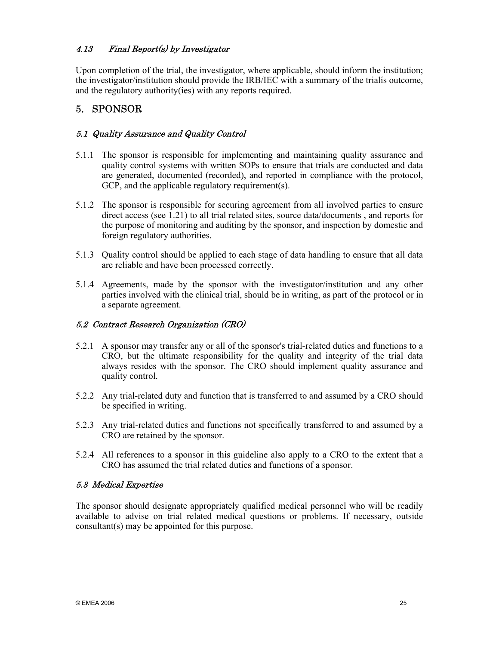#### 4.13 Final Report(s) by Investigator

Upon completion of the trial, the investigator, where applicable, should inform the institution; the investigator/institution should provide the IRB/IEC with a summary of the trialís outcome, and the regulatory authority(ies) with any reports required.

# 5. SPONSOR

#### 5.1 Quality Assurance and Quality Control

- 5.1.1 The sponsor is responsible for implementing and maintaining quality assurance and quality control systems with written SOPs to ensure that trials are conducted and data are generated, documented (recorded), and reported in compliance with the protocol, GCP, and the applicable regulatory requirement(s).
- 5.1.2 The sponsor is responsible for securing agreement from all involved parties to ensure direct access (see 1.21) to all trial related sites, source data/documents , and reports for the purpose of monitoring and auditing by the sponsor, and inspection by domestic and foreign regulatory authorities.
- 5.1.3 Quality control should be applied to each stage of data handling to ensure that all data are reliable and have been processed correctly.
- 5.1.4 Agreements, made by the sponsor with the investigator/institution and any other parties involved with the clinical trial, should be in writing, as part of the protocol or in a separate agreement.

#### 5.2 Contract Research Organization (CRO)

- 5.2.1 A sponsor may transfer any or all of the sponsor's trial-related duties and functions to a CRO, but the ultimate responsibility for the quality and integrity of the trial data always resides with the sponsor. The CRO should implement quality assurance and quality control.
- 5.2.2 Any trial-related duty and function that is transferred to and assumed by a CRO should be specified in writing.
- 5.2.3 Any trial-related duties and functions not specifically transferred to and assumed by a CRO are retained by the sponsor.
- 5.2.4 All references to a sponsor in this guideline also apply to a CRO to the extent that a CRO has assumed the trial related duties and functions of a sponsor.

#### 5.3 Medical Expertise

The sponsor should designate appropriately qualified medical personnel who will be readily available to advise on trial related medical questions or problems. If necessary, outside consultant(s) may be appointed for this purpose.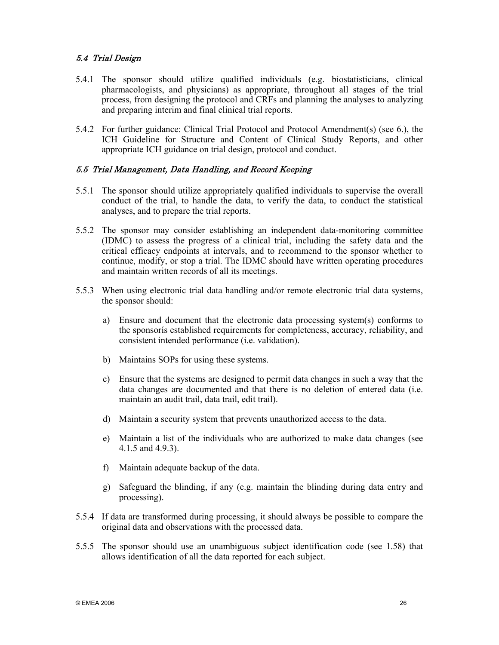### 5.4 Trial Design

- 5.4.1 The sponsor should utilize qualified individuals (e.g. biostatisticians, clinical pharmacologists, and physicians) as appropriate, throughout all stages of the trial process, from designing the protocol and CRFs and planning the analyses to analyzing and preparing interim and final clinical trial reports.
- 5.4.2 For further guidance: Clinical Trial Protocol and Protocol Amendment(s) (see 6.), the ICH Guideline for Structure and Content of Clinical Study Reports, and other appropriate ICH guidance on trial design, protocol and conduct.

#### 5.5 Trial Management, Data Handling, and Record Keeping

- 5.5.1 The sponsor should utilize appropriately qualified individuals to supervise the overall conduct of the trial, to handle the data, to verify the data, to conduct the statistical analyses, and to prepare the trial reports.
- 5.5.2 The sponsor may consider establishing an independent data-monitoring committee (IDMC) to assess the progress of a clinical trial, including the safety data and the critical efficacy endpoints at intervals, and to recommend to the sponsor whether to continue, modify, or stop a trial. The IDMC should have written operating procedures and maintain written records of all its meetings.
- 5.5.3 When using electronic trial data handling and/or remote electronic trial data systems, the sponsor should:
	- a) Ensure and document that the electronic data processing system(s) conforms to the sponsorís established requirements for completeness, accuracy, reliability, and consistent intended performance (i.e. validation).
	- b) Maintains SOPs for using these systems.
	- c) Ensure that the systems are designed to permit data changes in such a way that the data changes are documented and that there is no deletion of entered data (i.e. maintain an audit trail, data trail, edit trail).
	- d) Maintain a security system that prevents unauthorized access to the data.
	- e) Maintain a list of the individuals who are authorized to make data changes (see 4.1.5 and 4.9.3).
	- f) Maintain adequate backup of the data.
	- g) Safeguard the blinding, if any (e.g. maintain the blinding during data entry and processing).
- 5.5.4 If data are transformed during processing, it should always be possible to compare the original data and observations with the processed data.
- 5.5.5 The sponsor should use an unambiguous subject identification code (see 1.58) that allows identification of all the data reported for each subject.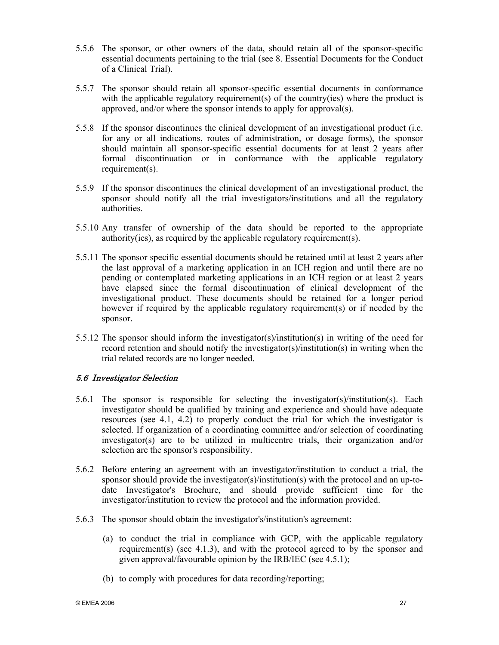- 5.5.6 The sponsor, or other owners of the data, should retain all of the sponsor-specific essential documents pertaining to the trial (see 8. Essential Documents for the Conduct of a Clinical Trial).
- 5.5.7 The sponsor should retain all sponsor-specific essential documents in conformance with the applicable regulatory requirement(s) of the country(ies) where the product is approved, and/or where the sponsor intends to apply for approval(s).
- 5.5.8 If the sponsor discontinues the clinical development of an investigational product (i.e. for any or all indications, routes of administration, or dosage forms), the sponsor should maintain all sponsor-specific essential documents for at least 2 years after formal discontinuation or in conformance with the applicable regulatory requirement(s).
- 5.5.9 If the sponsor discontinues the clinical development of an investigational product, the sponsor should notify all the trial investigators/institutions and all the regulatory authorities.
- 5.5.10 Any transfer of ownership of the data should be reported to the appropriate authority(ies), as required by the applicable regulatory requirement(s).
- 5.5.11 The sponsor specific essential documents should be retained until at least 2 years after the last approval of a marketing application in an ICH region and until there are no pending or contemplated marketing applications in an ICH region or at least 2 years have elapsed since the formal discontinuation of clinical development of the investigational product. These documents should be retained for a longer period however if required by the applicable regulatory requirement(s) or if needed by the sponsor.
- 5.5.12 The sponsor should inform the investigator(s)/institution(s) in writing of the need for record retention and should notify the investigator(s)/institution(s) in writing when the trial related records are no longer needed.

#### 5.6 Investigator Selection

- 5.6.1 The sponsor is responsible for selecting the investigator(s)/institution(s). Each investigator should be qualified by training and experience and should have adequate resources (see 4.1, 4.2) to properly conduct the trial for which the investigator is selected. If organization of a coordinating committee and/or selection of coordinating investigator(s) are to be utilized in multicentre trials, their organization and/or selection are the sponsor's responsibility.
- 5.6.2 Before entering an agreement with an investigator/institution to conduct a trial, the sponsor should provide the investigator(s)/institution(s) with the protocol and an up-todate Investigator's Brochure, and should provide sufficient time for the investigator/institution to review the protocol and the information provided.
- 5.6.3 The sponsor should obtain the investigator's/institution's agreement:
	- (a) to conduct the trial in compliance with GCP, with the applicable regulatory requirement(s) (see 4.1.3), and with the protocol agreed to by the sponsor and given approval/favourable opinion by the IRB/IEC (see 4.5.1);
	- (b) to comply with procedures for data recording/reporting;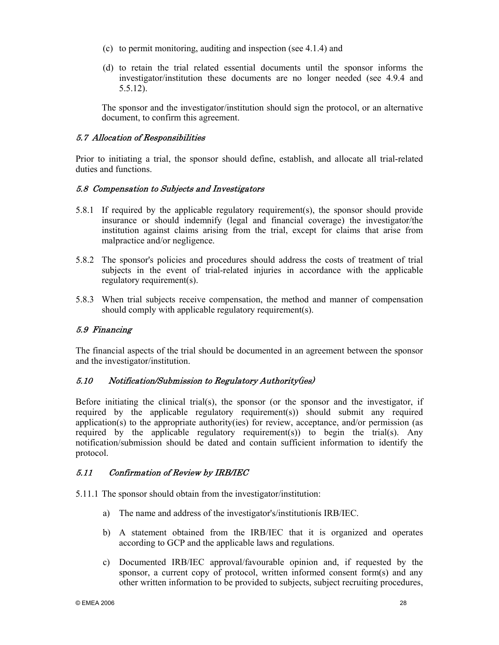- (c) to permit monitoring, auditing and inspection (see 4.1.4) and
- (d) to retain the trial related essential documents until the sponsor informs the investigator/institution these documents are no longer needed (see 4.9.4 and 5.5.12).

The sponsor and the investigator/institution should sign the protocol, or an alternative document, to confirm this agreement.

### 5.7 Allocation of Responsibilities

Prior to initiating a trial, the sponsor should define, establish, and allocate all trial-related duties and functions.

### 5.8 Compensation to Subjects and Investigators

- 5.8.1 If required by the applicable regulatory requirement(s), the sponsor should provide insurance or should indemnify (legal and financial coverage) the investigator/the institution against claims arising from the trial, except for claims that arise from malpractice and/or negligence.
- 5.8.2 The sponsor's policies and procedures should address the costs of treatment of trial subjects in the event of trial-related injuries in accordance with the applicable regulatory requirement(s).
- 5.8.3 When trial subjects receive compensation, the method and manner of compensation should comply with applicable regulatory requirement(s).

### 5.9 Financing

The financial aspects of the trial should be documented in an agreement between the sponsor and the investigator/institution.

### 5.10 Notification/Submission to Regulatory Authority(ies)

Before initiating the clinical trial(s), the sponsor (or the sponsor and the investigator, if required by the applicable regulatory requirement(s)) should submit any required application(s) to the appropriate authority(ies) for review, acceptance, and/or permission (as required by the applicable regulatory requirement(s)) to begin the trial(s). Any notification/submission should be dated and contain sufficient information to identify the protocol.

### 5.11 Confirmation of Review by IRB/IEC

5.11.1 The sponsor should obtain from the investigator/institution:

- a) The name and address of the investigator's/institutionís IRB/IEC.
- b) A statement obtained from the IRB/IEC that it is organized and operates according to GCP and the applicable laws and regulations.
- c) Documented IRB/IEC approval/favourable opinion and, if requested by the sponsor, a current copy of protocol, written informed consent form(s) and any other written information to be provided to subjects, subject recruiting procedures,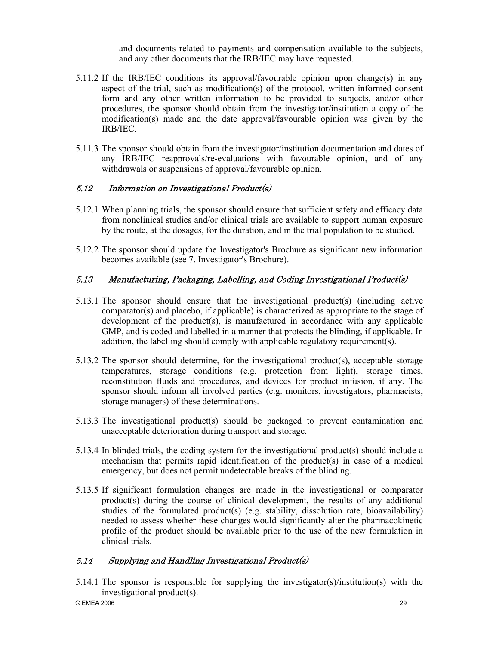and documents related to payments and compensation available to the subjects, and any other documents that the IRB/IEC may have requested.

- 5.11.2 If the IRB/IEC conditions its approval/favourable opinion upon change(s) in any aspect of the trial, such as modification(s) of the protocol, written informed consent form and any other written information to be provided to subjects, and/or other procedures, the sponsor should obtain from the investigator/institution a copy of the modification(s) made and the date approval/favourable opinion was given by the IRB/IEC.
- 5.11.3 The sponsor should obtain from the investigator/institution documentation and dates of any IRB/IEC reapprovals/re-evaluations with favourable opinion, and of any withdrawals or suspensions of approval/favourable opinion.

#### 5.12 Information on Investigational Product(s)

- 5.12.1 When planning trials, the sponsor should ensure that sufficient safety and efficacy data from nonclinical studies and/or clinical trials are available to support human exposure by the route, at the dosages, for the duration, and in the trial population to be studied.
- 5.12.2 The sponsor should update the Investigator's Brochure as significant new information becomes available (see 7. Investigator's Brochure).

### 5.13 Manufacturing, Packaging, Labelling, and Coding Investigational Product(s)

- 5.13.1 The sponsor should ensure that the investigational product(s) (including active comparator(s) and placebo, if applicable) is characterized as appropriate to the stage of development of the product(s), is manufactured in accordance with any applicable GMP, and is coded and labelled in a manner that protects the blinding, if applicable. In addition, the labelling should comply with applicable regulatory requirement(s).
- 5.13.2 The sponsor should determine, for the investigational product(s), acceptable storage temperatures, storage conditions (e.g. protection from light), storage times, reconstitution fluids and procedures, and devices for product infusion, if any. The sponsor should inform all involved parties (e.g. monitors, investigators, pharmacists, storage managers) of these determinations.
- 5.13.3 The investigational product(s) should be packaged to prevent contamination and unacceptable deterioration during transport and storage.
- 5.13.4 In blinded trials, the coding system for the investigational product(s) should include a mechanism that permits rapid identification of the product(s) in case of a medical emergency, but does not permit undetectable breaks of the blinding.
- 5.13.5 If significant formulation changes are made in the investigational or comparator product(s) during the course of clinical development, the results of any additional studies of the formulated product(s) (e.g. stability, dissolution rate, bioavailability) needed to assess whether these changes would significantly alter the pharmacokinetic profile of the product should be available prior to the use of the new formulation in clinical trials.

### 5.14 Supplying and Handling Investigational Product(s)

5.14.1 The sponsor is responsible for supplying the investigator(s)/institution(s) with the investigational product(s).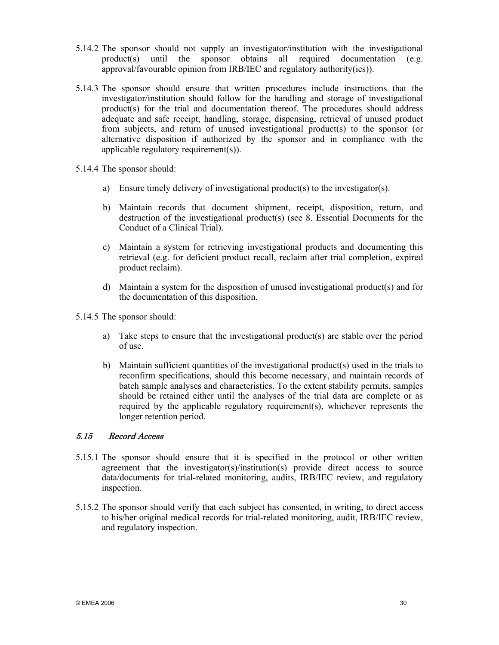- 5.14.2 The sponsor should not supply an investigator/institution with the investigational product(s) until the sponsor obtains all required documentation (e.g. approval/favourable opinion from IRB/IEC and regulatory authority(ies)).
- 5.14.3 The sponsor should ensure that written procedures include instructions that the investigator/institution should follow for the handling and storage of investigational product(s) for the trial and documentation thereof. The procedures should address adequate and safe receipt, handling, storage, dispensing, retrieval of unused product from subjects, and return of unused investigational product(s) to the sponsor (or alternative disposition if authorized by the sponsor and in compliance with the applicable regulatory requirement(s)).
- 5.14.4 The sponsor should:
	- a) Ensure timely delivery of investigational product(s) to the investigator(s).
	- b) Maintain records that document shipment, receipt, disposition, return, and destruction of the investigational product(s) (see 8. Essential Documents for the Conduct of a Clinical Trial).
	- c) Maintain a system for retrieving investigational products and documenting this retrieval (e.g. for deficient product recall, reclaim after trial completion, expired product reclaim).
	- d) Maintain a system for the disposition of unused investigational product(s) and for the documentation of this disposition.
- 5.14.5 The sponsor should:
	- a) Take steps to ensure that the investigational product(s) are stable over the period of use.
	- b) Maintain sufficient quantities of the investigational product(s) used in the trials to reconfirm specifications, should this become necessary, and maintain records of batch sample analyses and characteristics. To the extent stability permits, samples should be retained either until the analyses of the trial data are complete or as required by the applicable regulatory requirement(s), whichever represents the longer retention period.

### 5.15 Record Access

- 5.15.1 The sponsor should ensure that it is specified in the protocol or other written agreement that the investigator(s)/institution(s) provide direct access to source data/documents for trial-related monitoring, audits, IRB/IEC review, and regulatory inspection.
- 5.15.2 The sponsor should verify that each subject has consented, in writing, to direct access to his/her original medical records for trial-related monitoring, audit, IRB/IEC review, and regulatory inspection.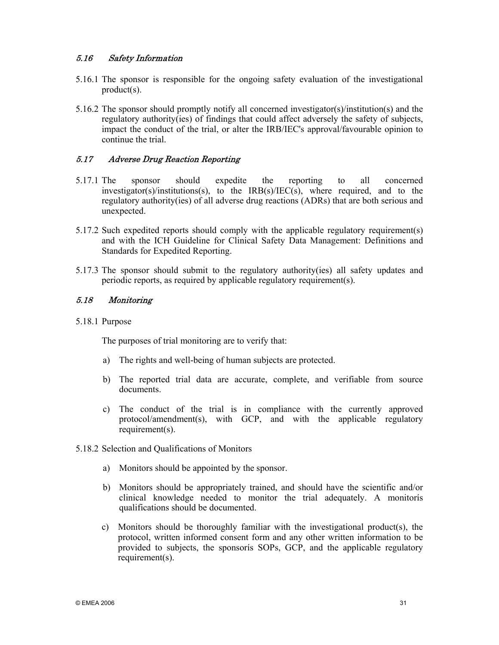### 5.16 Safety Information

- 5.16.1 The sponsor is responsible for the ongoing safety evaluation of the investigational product(s).
- 5.16.2 The sponsor should promptly notify all concerned investigator(s)/institution(s) and the regulatory authority(ies) of findings that could affect adversely the safety of subjects, impact the conduct of the trial, or alter the IRB/IEC's approval/favourable opinion to continue the trial.

#### 5.17 Adverse Drug Reaction Reporting

- 5.17.1 The sponsor should expedite the reporting to all concerned investigator(s)/institutions(s), to the  $IRB(s)/IEC(s)$ , where required, and to the regulatory authority(ies) of all adverse drug reactions (ADRs) that are both serious and unexpected.
- 5.17.2 Such expedited reports should comply with the applicable regulatory requirement(s) and with the ICH Guideline for Clinical Safety Data Management: Definitions and Standards for Expedited Reporting.
- 5.17.3 The sponsor should submit to the regulatory authority(ies) all safety updates and periodic reports, as required by applicable regulatory requirement(s).

#### 5.18 Monitoring

#### 5.18.1 Purpose

The purposes of trial monitoring are to verify that:

- a) The rights and well-being of human subjects are protected.
- b) The reported trial data are accurate, complete, and verifiable from source documents.
- c) The conduct of the trial is in compliance with the currently approved protocol/amendment(s), with GCP, and with the applicable regulatory requirement(s).
- 5.18.2 Selection and Qualifications of Monitors
	- a) Monitors should be appointed by the sponsor.
	- b) Monitors should be appropriately trained, and should have the scientific and/or clinical knowledge needed to monitor the trial adequately. A monitorís qualifications should be documented.
	- c) Monitors should be thoroughly familiar with the investigational product(s), the protocol, written informed consent form and any other written information to be provided to subjects, the sponsorís SOPs, GCP, and the applicable regulatory requirement(s).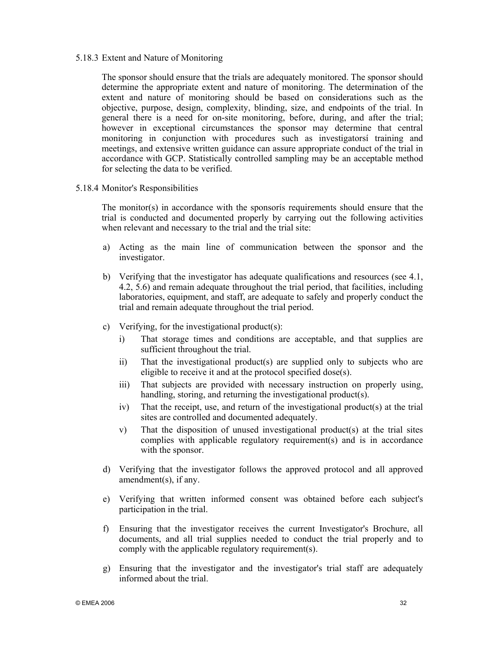#### 5.18.3 Extent and Nature of Monitoring

The sponsor should ensure that the trials are adequately monitored. The sponsor should determine the appropriate extent and nature of monitoring. The determination of the extent and nature of monitoring should be based on considerations such as the objective, purpose, design, complexity, blinding, size, and endpoints of the trial. In general there is a need for on-site monitoring, before, during, and after the trial; however in exceptional circumstances the sponsor may determine that central monitoring in conjunction with procedures such as investigatorsí training and meetings, and extensive written guidance can assure appropriate conduct of the trial in accordance with GCP. Statistically controlled sampling may be an acceptable method for selecting the data to be verified.

5.18.4 Monitor's Responsibilities

The monitor(s) in accordance with the sponsorís requirements should ensure that the trial is conducted and documented properly by carrying out the following activities when relevant and necessary to the trial and the trial site:

- a) Acting as the main line of communication between the sponsor and the investigator.
- b) Verifying that the investigator has adequate qualifications and resources (see 4.1, 4.2, 5.6) and remain adequate throughout the trial period, that facilities, including laboratories, equipment, and staff, are adequate to safely and properly conduct the trial and remain adequate throughout the trial period.
- c) Verifying, for the investigational product(s):
	- i) That storage times and conditions are acceptable, and that supplies are sufficient throughout the trial.
	- ii) That the investigational product(s) are supplied only to subjects who are eligible to receive it and at the protocol specified dose(s).
	- iii) That subjects are provided with necessary instruction on properly using, handling, storing, and returning the investigational product(s).
	- iv) That the receipt, use, and return of the investigational product(s) at the trial sites are controlled and documented adequately.
	- v) That the disposition of unused investigational product(s) at the trial sites complies with applicable regulatory requirement(s) and is in accordance with the sponsor.
- d) Verifying that the investigator follows the approved protocol and all approved amendment(s), if any.
- e) Verifying that written informed consent was obtained before each subject's participation in the trial.
- f) Ensuring that the investigator receives the current Investigator's Brochure, all documents, and all trial supplies needed to conduct the trial properly and to comply with the applicable regulatory requirement(s).
- g) Ensuring that the investigator and the investigator's trial staff are adequately informed about the trial.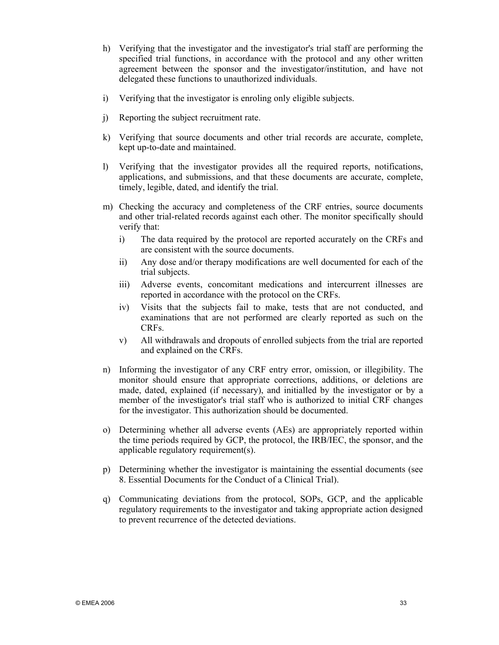- h) Verifying that the investigator and the investigator's trial staff are performing the specified trial functions, in accordance with the protocol and any other written agreement between the sponsor and the investigator/institution, and have not delegated these functions to unauthorized individuals.
- i) Verifying that the investigator is enroling only eligible subjects.
- j) Reporting the subject recruitment rate.
- k) Verifying that source documents and other trial records are accurate, complete, kept up-to-date and maintained.
- l) Verifying that the investigator provides all the required reports, notifications, applications, and submissions, and that these documents are accurate, complete, timely, legible, dated, and identify the trial.
- m) Checking the accuracy and completeness of the CRF entries, source documents and other trial-related records against each other. The monitor specifically should verify that:
	- i) The data required by the protocol are reported accurately on the CRFs and are consistent with the source documents.
	- ii) Any dose and/or therapy modifications are well documented for each of the trial subjects.
	- iii) Adverse events, concomitant medications and intercurrent illnesses are reported in accordance with the protocol on the CRFs.
	- iv) Visits that the subjects fail to make, tests that are not conducted, and examinations that are not performed are clearly reported as such on the CRFs.
	- v) All withdrawals and dropouts of enrolled subjects from the trial are reported and explained on the CRFs.
- n) Informing the investigator of any CRF entry error, omission, or illegibility. The monitor should ensure that appropriate corrections, additions, or deletions are made, dated, explained (if necessary), and initialled by the investigator or by a member of the investigator's trial staff who is authorized to initial CRF changes for the investigator. This authorization should be documented.
- o) Determining whether all adverse events (AEs) are appropriately reported within the time periods required by GCP, the protocol, the IRB/IEC, the sponsor, and the applicable regulatory requirement(s).
- p) Determining whether the investigator is maintaining the essential documents (see 8. Essential Documents for the Conduct of a Clinical Trial).
- q) Communicating deviations from the protocol, SOPs, GCP, and the applicable regulatory requirements to the investigator and taking appropriate action designed to prevent recurrence of the detected deviations.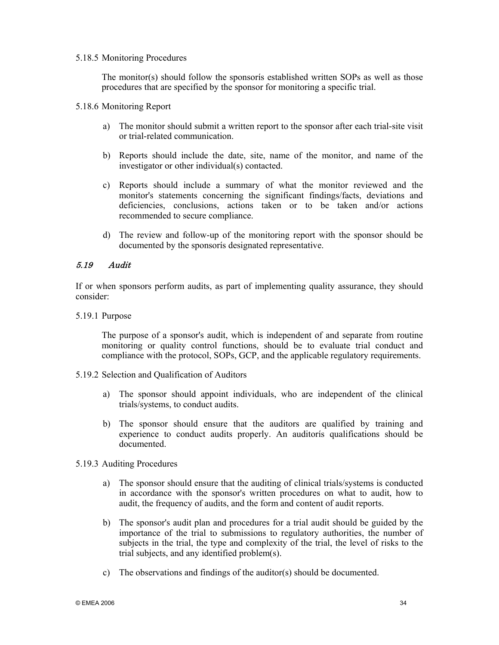#### 5.18.5 Monitoring Procedures

The monitor(s) should follow the sponsorís established written SOPs as well as those procedures that are specified by the sponsor for monitoring a specific trial.

#### 5.18.6 Monitoring Report

- a) The monitor should submit a written report to the sponsor after each trial-site visit or trial-related communication.
- b) Reports should include the date, site, name of the monitor, and name of the investigator or other individual(s) contacted.
- c) Reports should include a summary of what the monitor reviewed and the monitor's statements concerning the significant findings/facts, deviations and deficiencies, conclusions, actions taken or to be taken and/or actions recommended to secure compliance.
- d) The review and follow-up of the monitoring report with the sponsor should be documented by the sponsorís designated representative.

#### 5.19 Audit

If or when sponsors perform audits, as part of implementing quality assurance, they should consider:

5.19.1 Purpose

The purpose of a sponsor's audit, which is independent of and separate from routine monitoring or quality control functions, should be to evaluate trial conduct and compliance with the protocol, SOPs, GCP, and the applicable regulatory requirements.

- 5.19.2 Selection and Qualification of Auditors
	- a) The sponsor should appoint individuals, who are independent of the clinical trials/systems, to conduct audits.
	- b) The sponsor should ensure that the auditors are qualified by training and experience to conduct audits properly. An auditorís qualifications should be documented.

#### 5.19.3 Auditing Procedures

- a) The sponsor should ensure that the auditing of clinical trials/systems is conducted in accordance with the sponsor's written procedures on what to audit, how to audit, the frequency of audits, and the form and content of audit reports.
- b) The sponsor's audit plan and procedures for a trial audit should be guided by the importance of the trial to submissions to regulatory authorities, the number of subjects in the trial, the type and complexity of the trial, the level of risks to the trial subjects, and any identified problem(s).
- c) The observations and findings of the auditor(s) should be documented.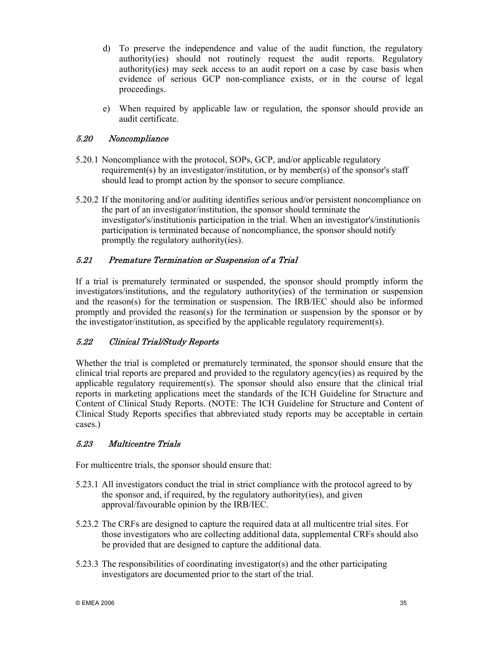- d) To preserve the independence and value of the audit function, the regulatory authority(ies) should not routinely request the audit reports. Regulatory authority(ies) may seek access to an audit report on a case by case basis when evidence of serious GCP non-compliance exists, or in the course of legal proceedings.
- e) When required by applicable law or regulation, the sponsor should provide an audit certificate.

## 5.20 Noncompliance

- 5.20.1 Noncompliance with the protocol, SOPs, GCP, and/or applicable regulatory requirement(s) by an investigator/institution, or by member(s) of the sponsor's staff should lead to prompt action by the sponsor to secure compliance.
- 5.20.2 If the monitoring and/or auditing identifies serious and/or persistent noncompliance on the part of an investigator/institution, the sponsor should terminate the investigator's/institutionís participation in the trial. When an investigator's/institutionís participation is terminated because of noncompliance, the sponsor should notify promptly the regulatory authority(ies).

## 5.21 Premature Termination or Suspension of a Trial

If a trial is prematurely terminated or suspended, the sponsor should promptly inform the investigators/institutions, and the regulatory authority(ies) of the termination or suspension and the reason(s) for the termination or suspension. The IRB/IEC should also be informed promptly and provided the reason(s) for the termination or suspension by the sponsor or by the investigator/institution, as specified by the applicable regulatory requirement(s).

### 5.22 Clinical Trial/Study Reports

Whether the trial is completed or prematurely terminated, the sponsor should ensure that the clinical trial reports are prepared and provided to the regulatory agency(ies) as required by the applicable regulatory requirement(s). The sponsor should also ensure that the clinical trial reports in marketing applications meet the standards of the ICH Guideline for Structure and Content of Clinical Study Reports. (NOTE: The ICH Guideline for Structure and Content of Clinical Study Reports specifies that abbreviated study reports may be acceptable in certain cases.)

### 5.23 Multicentre Trials

For multicentre trials, the sponsor should ensure that:

- 5.23.1 All investigators conduct the trial in strict compliance with the protocol agreed to by the sponsor and, if required, by the regulatory authority(ies), and given approval/favourable opinion by the IRB/IEC.
- 5.23.2 The CRFs are designed to capture the required data at all multicentre trial sites. For those investigators who are collecting additional data, supplemental CRFs should also be provided that are designed to capture the additional data.
- 5.23.3 The responsibilities of coordinating investigator(s) and the other participating investigators are documented prior to the start of the trial.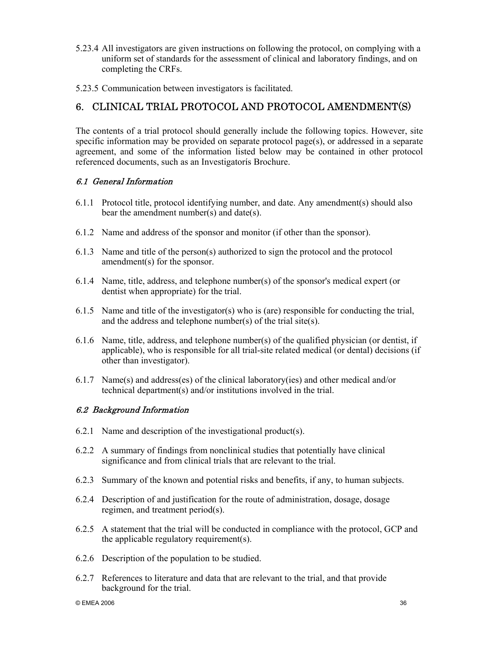- 5.23.4 All investigators are given instructions on following the protocol, on complying with a uniform set of standards for the assessment of clinical and laboratory findings, and on completing the CRFs.
- 5.23.5 Communication between investigators is facilitated.

# 6. CLINICAL TRIAL PROTOCOL AND PROTOCOL AMENDMENT(S)

The contents of a trial protocol should generally include the following topics. However, site specific information may be provided on separate protocol page(s), or addressed in a separate agreement, and some of the information listed below may be contained in other protocol referenced documents, such as an Investigatorís Brochure.

### 6.1 General Information

- 6.1.1 Protocol title, protocol identifying number, and date. Any amendment(s) should also bear the amendment number(s) and date(s).
- 6.1.2 Name and address of the sponsor and monitor (if other than the sponsor).
- 6.1.3 Name and title of the person(s) authorized to sign the protocol and the protocol amendment(s) for the sponsor.
- 6.1.4 Name, title, address, and telephone number(s) of the sponsor's medical expert (or dentist when appropriate) for the trial.
- 6.1.5 Name and title of the investigator(s) who is (are) responsible for conducting the trial, and the address and telephone number(s) of the trial site(s).
- 6.1.6 Name, title, address, and telephone number(s) of the qualified physician (or dentist, if applicable), who is responsible for all trial-site related medical (or dental) decisions (if other than investigator).
- 6.1.7 Name(s) and address(es) of the clinical laboratory(ies) and other medical and/or technical department(s) and/or institutions involved in the trial.

# 6.2 Background Information

- 6.2.1 Name and description of the investigational product(s).
- 6.2.2 A summary of findings from nonclinical studies that potentially have clinical significance and from clinical trials that are relevant to the trial.
- 6.2.3 Summary of the known and potential risks and benefits, if any, to human subjects.
- 6.2.4 Description of and justification for the route of administration, dosage, dosage regimen, and treatment period(s).
- 6.2.5 A statement that the trial will be conducted in compliance with the protocol, GCP and the applicable regulatory requirement(s).
- 6.2.6 Description of the population to be studied.
- 6.2.7 References to literature and data that are relevant to the trial, and that provide background for the trial.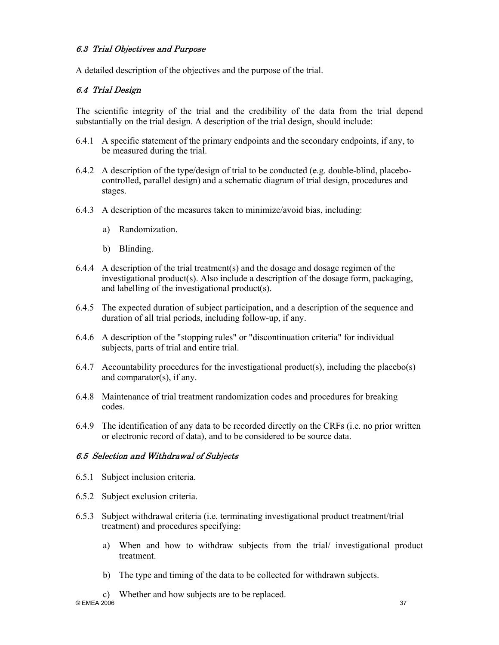### 6.3 Trial Objectives and Purpose

A detailed description of the objectives and the purpose of the trial.

## 6.4 Trial Design

The scientific integrity of the trial and the credibility of the data from the trial depend substantially on the trial design. A description of the trial design, should include:

- 6.4.1 A specific statement of the primary endpoints and the secondary endpoints, if any, to be measured during the trial.
- 6.4.2 A description of the type/design of trial to be conducted (e.g. double-blind, placebocontrolled, parallel design) and a schematic diagram of trial design, procedures and stages.
- 6.4.3 A description of the measures taken to minimize/avoid bias, including:
	- a) Randomization.
	- b) Blinding.
- 6.4.4 A description of the trial treatment(s) and the dosage and dosage regimen of the investigational product(s). Also include a description of the dosage form, packaging, and labelling of the investigational product(s).
- 6.4.5 The expected duration of subject participation, and a description of the sequence and duration of all trial periods, including follow-up, if any.
- 6.4.6 A description of the "stopping rules" or "discontinuation criteria" for individual subjects, parts of trial and entire trial.
- 6.4.7 Accountability procedures for the investigational product(s), including the placebo(s) and comparator(s), if any.
- 6.4.8 Maintenance of trial treatment randomization codes and procedures for breaking codes.
- 6.4.9 The identification of any data to be recorded directly on the CRFs (i.e. no prior written or electronic record of data), and to be considered to be source data.

### 6.5 Selection and Withdrawal of Subjects

- 6.5.1 Subject inclusion criteria.
- 6.5.2 Subject exclusion criteria.
- 6.5.3 Subject withdrawal criteria (i.e. terminating investigational product treatment/trial treatment) and procedures specifying:
	- a) When and how to withdraw subjects from the trial/ investigational product treatment.
	- b) The type and timing of the data to be collected for withdrawn subjects.
- c) Whether and how subjects are to be replaced.<br>  $\circ$ FMFA 2006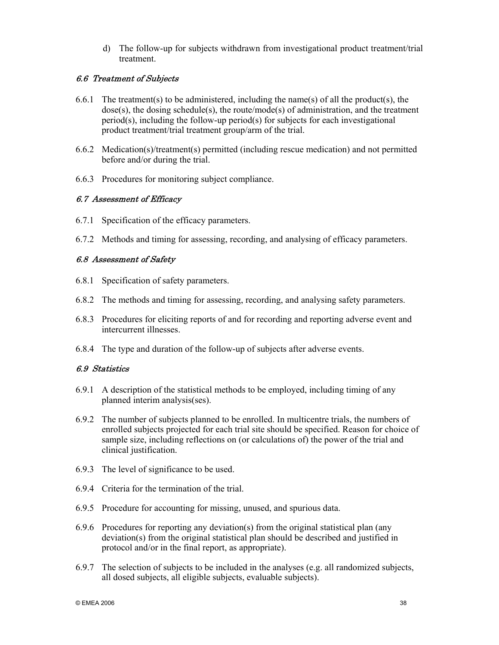d) The follow-up for subjects withdrawn from investigational product treatment/trial treatment.

#### 6.6 Treatment of Subjects

- 6.6.1 The treatment(s) to be administered, including the name(s) of all the product(s), the  $dose(s)$ , the dosing schedule(s), the route/mode(s) of administration, and the treatment period(s), including the follow-up period(s) for subjects for each investigational product treatment/trial treatment group/arm of the trial.
- 6.6.2 Medication(s)/treatment(s) permitted (including rescue medication) and not permitted before and/or during the trial.
- 6.6.3 Procedures for monitoring subject compliance.

### 6.7 Assessment of Efficacy

- 6.7.1 Specification of the efficacy parameters.
- 6.7.2 Methods and timing for assessing, recording, and analysing of efficacy parameters.

#### 6.8 Assessment of Safety

- 6.8.1 Specification of safety parameters.
- 6.8.2 The methods and timing for assessing, recording, and analysing safety parameters.
- 6.8.3 Procedures for eliciting reports of and for recording and reporting adverse event and intercurrent illnesses.
- 6.8.4 The type and duration of the follow-up of subjects after adverse events.

#### 6.9 Statistics

- 6.9.1 A description of the statistical methods to be employed, including timing of any planned interim analysis(ses).
- 6.9.2 The number of subjects planned to be enrolled. In multicentre trials, the numbers of enrolled subjects projected for each trial site should be specified. Reason for choice of sample size, including reflections on (or calculations of) the power of the trial and clinical justification.
- 6.9.3 The level of significance to be used.
- 6.9.4 Criteria for the termination of the trial.
- 6.9.5 Procedure for accounting for missing, unused, and spurious data.
- 6.9.6 Procedures for reporting any deviation(s) from the original statistical plan (any deviation(s) from the original statistical plan should be described and justified in protocol and/or in the final report, as appropriate).
- 6.9.7 The selection of subjects to be included in the analyses (e.g. all randomized subjects, all dosed subjects, all eligible subjects, evaluable subjects).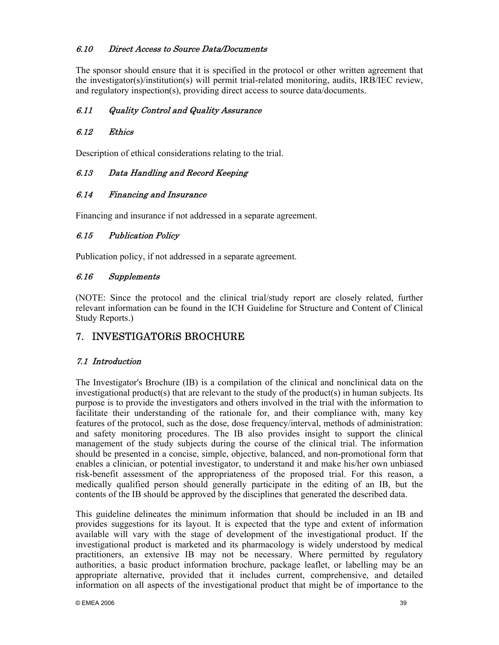## 6.10 Direct Access to Source Data/Documents

The sponsor should ensure that it is specified in the protocol or other written agreement that the investigator(s)/institution(s) will permit trial-related monitoring, audits, IRB/IEC review, and regulatory inspection(s), providing direct access to source data/documents.

## 6.11 Quality Control and Quality Assurance

## 6.12 Ethics

Description of ethical considerations relating to the trial.

### 6.13 Data Handling and Record Keeping

### 6.14 Financing and Insurance

Financing and insurance if not addressed in a separate agreement.

### 6.15 Publication Policy

Publication policy, if not addressed in a separate agreement.

### 6.16 Supplements

(NOTE: Since the protocol and the clinical trial/study report are closely related, further relevant information can be found in the ICH Guideline for Structure and Content of Clinical Study Reports.)

# 7. INVESTIGATORíS BROCHURE

### 7.1 Introduction

The Investigator's Brochure (IB) is a compilation of the clinical and nonclinical data on the investigational product(s) that are relevant to the study of the product(s) in human subjects. Its purpose is to provide the investigators and others involved in the trial with the information to facilitate their understanding of the rationale for, and their compliance with, many key features of the protocol, such as the dose, dose frequency/interval, methods of administration: and safety monitoring procedures. The IB also provides insight to support the clinical management of the study subjects during the course of the clinical trial. The information should be presented in a concise, simple, objective, balanced, and non-promotional form that enables a clinician, or potential investigator, to understand it and make his/her own unbiased risk-benefit assessment of the appropriateness of the proposed trial. For this reason, a medically qualified person should generally participate in the editing of an IB, but the contents of the IB should be approved by the disciplines that generated the described data.

This guideline delineates the minimum information that should be included in an IB and provides suggestions for its layout. It is expected that the type and extent of information available will vary with the stage of development of the investigational product. If the investigational product is marketed and its pharmacology is widely understood by medical practitioners, an extensive IB may not be necessary. Where permitted by regulatory authorities, a basic product information brochure, package leaflet, or labelling may be an appropriate alternative, provided that it includes current, comprehensive, and detailed information on all aspects of the investigational product that might be of importance to the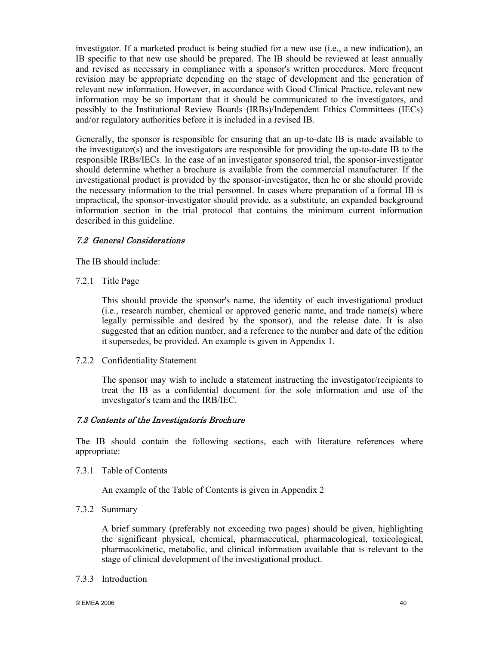investigator. If a marketed product is being studied for a new use (i.e., a new indication), an IB specific to that new use should be prepared. The IB should be reviewed at least annually and revised as necessary in compliance with a sponsor's written procedures. More frequent revision may be appropriate depending on the stage of development and the generation of relevant new information. However, in accordance with Good Clinical Practice, relevant new information may be so important that it should be communicated to the investigators, and possibly to the Institutional Review Boards (IRBs)/Independent Ethics Committees (IECs) and/or regulatory authorities before it is included in a revised IB.

Generally, the sponsor is responsible for ensuring that an up-to-date IB is made available to the investigator(s) and the investigators are responsible for providing the up-to-date IB to the responsible IRBs/IECs. In the case of an investigator sponsored trial, the sponsor-investigator should determine whether a brochure is available from the commercial manufacturer. If the investigational product is provided by the sponsor-investigator, then he or she should provide the necessary information to the trial personnel. In cases where preparation of a formal IB is impractical, the sponsor-investigator should provide, as a substitute, an expanded background information section in the trial protocol that contains the minimum current information described in this guideline.

### 7.2 General Considerations

The IB should include:

7.2.1 Title Page

This should provide the sponsor's name, the identity of each investigational product (i.e., research number, chemical or approved generic name, and trade name(s) where legally permissible and desired by the sponsor), and the release date. It is also suggested that an edition number, and a reference to the number and date of the edition it supersedes, be provided. An example is given in Appendix 1.

7.2.2 Confidentiality Statement

The sponsor may wish to include a statement instructing the investigator/recipients to treat the IB as a confidential document for the sole information and use of the investigator's team and the IRB/IEC.

### 7.3 Contents of the Investigatorís Brochure

The IB should contain the following sections, each with literature references where appropriate:

7.3.1 Table of Contents

An example of the Table of Contents is given in Appendix 2

7.3.2 Summary

A brief summary (preferably not exceeding two pages) should be given, highlighting the significant physical, chemical, pharmaceutical, pharmacological, toxicological, pharmacokinetic, metabolic, and clinical information available that is relevant to the stage of clinical development of the investigational product.

7.3.3 Introduction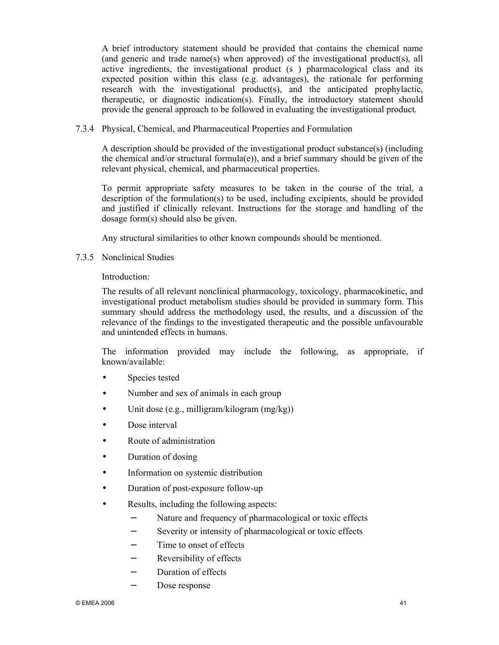A brief introductory statement should be provided that contains the chemical name (and generic and trade name(s) when approved) of the investigational product(s), all active ingredients, the investigational product (s ) pharmacological class and its expected position within this class (e.g. advantages), the rationale for performing research with the investigational product(s), and the anticipated prophylactic, therapeutic, or diagnostic indication(s). Finally, the introductory statement should provide the general approach to be followed in evaluating the investigational product.

7.3.4 Physical, Chemical, and Pharmaceutical Properties and Formulation

A description should be provided of the investigational product substance(s) (including the chemical and/or structural formula(e)), and a brief summary should be given of the relevant physical, chemical, and pharmaceutical properties.

To permit appropriate safety measures to be taken in the course of the trial, a description of the formulation(s) to be used, including excipients, should be provided and justified if clinically relevant. Instructions for the storage and handling of the dosage form(s) should also be given.

Any structural similarities to other known compounds should be mentioned.

7.3.5 Nonclinical Studies

Introduction:

The results of all relevant nonclinical pharmacology, toxicology, pharmacokinetic, and investigational product metabolism studies should be provided in summary form. This summary should address the methodology used, the results, and a discussion of the relevance of the findings to the investigated therapeutic and the possible unfavourable and unintended effects in humans.

The information provided may include the following, as appropriate, if known/available:

- Species tested
- Number and sex of animals in each group
- Unit dose (e.g., milligram/kilogram  $(mg/kg)$ )
- Dose interval
- Route of administration
- Duration of dosing
- Information on systemic distribution
- Duration of post-exposure follow-up
- Results, including the following aspects.
	- − Nature and frequency of pharmacological or toxic effects
	- − Severity or intensity of pharmacological or toxic effects
	- − Time to onset of effects
	- − Reversibility of effects
	- − Duration of effects
	- Dose response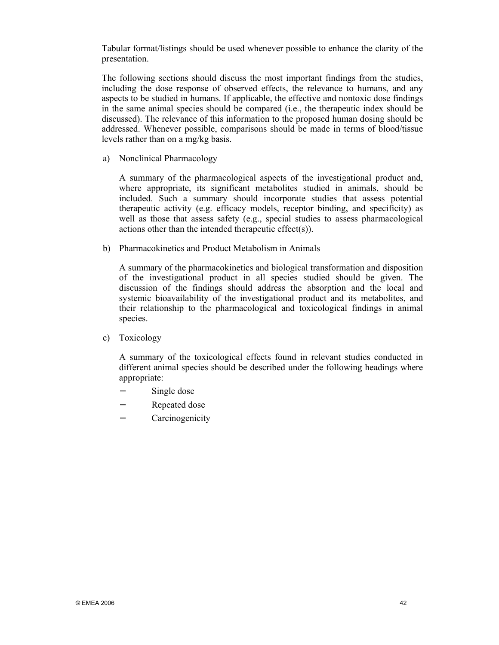Tabular format/listings should be used whenever possible to enhance the clarity of the presentation.

The following sections should discuss the most important findings from the studies, including the dose response of observed effects, the relevance to humans, and any aspects to be studied in humans. If applicable, the effective and nontoxic dose findings in the same animal species should be compared (i.e., the therapeutic index should be discussed). The relevance of this information to the proposed human dosing should be addressed. Whenever possible, comparisons should be made in terms of blood/tissue levels rather than on a mg/kg basis.

a) Nonclinical Pharmacology

A summary of the pharmacological aspects of the investigational product and, where appropriate, its significant metabolites studied in animals, should be included. Such a summary should incorporate studies that assess potential therapeutic activity (e.g. efficacy models, receptor binding, and specificity) as well as those that assess safety (e.g., special studies to assess pharmacological actions other than the intended therapeutic effect(s)).

b) Pharmacokinetics and Product Metabolism in Animals

A summary of the pharmacokinetics and biological transformation and disposition of the investigational product in all species studied should be given. The discussion of the findings should address the absorption and the local and systemic bioavailability of the investigational product and its metabolites, and their relationship to the pharmacological and toxicological findings in animal species.

c) Toxicology

A summary of the toxicological effects found in relevant studies conducted in different animal species should be described under the following headings where appropriate:

- Single dose
- − Repeated dose
- − Carcinogenicity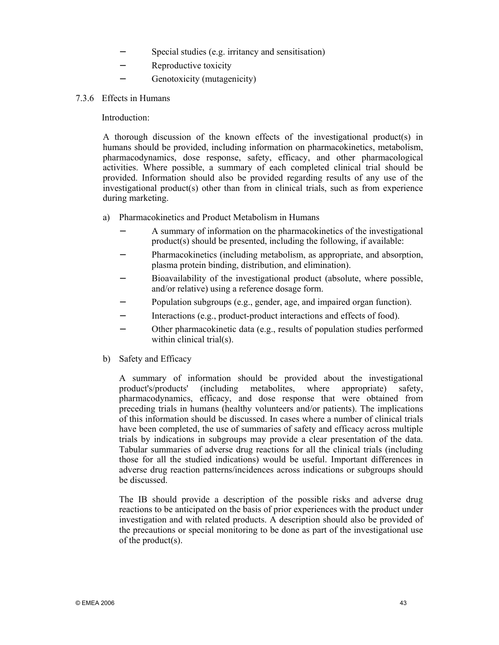- Special studies (e.g. irritancy and sensitisation)
- − Reproductive toxicity
	- Genotoxicity (mutagenicity)
- 7.3.6 Effects in Humans

#### Introduction:

A thorough discussion of the known effects of the investigational product(s) in humans should be provided, including information on pharmacokinetics, metabolism, pharmacodynamics, dose response, safety, efficacy, and other pharmacological activities. Where possible, a summary of each completed clinical trial should be provided. Information should also be provided regarding results of any use of the investigational product(s) other than from in clinical trials, such as from experience during marketing.

- a) Pharmacokinetics and Product Metabolism in Humans
	- A summary of information on the pharmacokinetics of the investigational product(s) should be presented, including the following, if available:
	- − Pharmacokinetics (including metabolism, as appropriate, and absorption, plasma protein binding, distribution, and elimination).
	- Bioavailability of the investigational product (absolute, where possible, and/or relative) using a reference dosage form.
	- Population subgroups (e.g., gender, age, and impaired organ function).
	- − Interactions (e.g., product-product interactions and effects of food).
	- − Other pharmacokinetic data (e.g., results of population studies performed within clinical trial(s).
- b) Safety and Efficacy

A summary of information should be provided about the investigational product's/products' (including metabolites, where appropriate) safety, pharmacodynamics, efficacy, and dose response that were obtained from preceding trials in humans (healthy volunteers and/or patients). The implications of this information should be discussed. In cases where a number of clinical trials have been completed, the use of summaries of safety and efficacy across multiple trials by indications in subgroups may provide a clear presentation of the data. Tabular summaries of adverse drug reactions for all the clinical trials (including those for all the studied indications) would be useful. Important differences in adverse drug reaction patterns/incidences across indications or subgroups should be discussed.

The IB should provide a description of the possible risks and adverse drug reactions to be anticipated on the basis of prior experiences with the product under investigation and with related products. A description should also be provided of the precautions or special monitoring to be done as part of the investigational use of the product(s).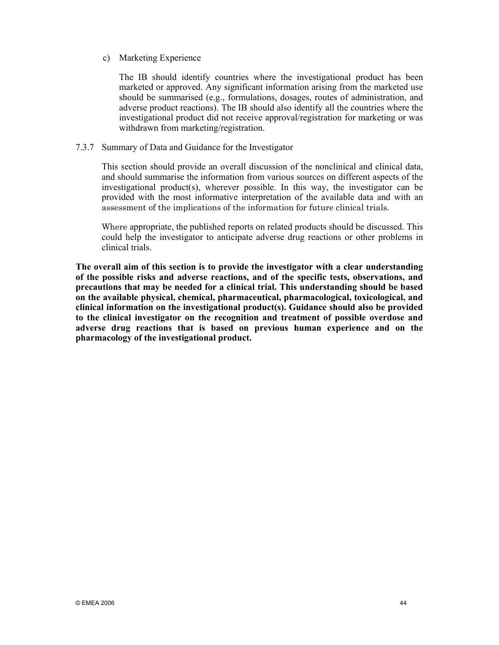#### c) Marketing Experience

The IB should identify countries where the investigational product has been marketed or approved. Any significant information arising from the marketed use should be summarised (e.g., formulations, dosages, routes of administration, and adverse product reactions). The IB should also identify all the countries where the investigational product did not receive approval/registration for marketing or was withdrawn from marketing/registration.

#### 7.3.7 Summary of Data and Guidance for the Investigator

This section should provide an overall discussion of the nonclinical and clinical data, and should summarise the information from various sources on different aspects of the investigational product(s), wherever possible. In this way, the investigator can be provided with the most informative interpretation of the available data and with an assessment of the implications of the information for future clinical trials.

Where appropriate, the published reports on related products should be discussed. This could help the investigator to anticipate adverse drug reactions or other problems in clinical trials.

**The overall aim of this section is to provide the investigator with a clear understanding of the possible risks and adverse reactions, and of the specific tests, observations, and precautions that may be needed for a clinical trial. This understanding should be based on the available physical, chemical, pharmaceutical, pharmacological, toxicological, and clinical information on the investigational product(s). Guidance should also be provided to the clinical investigator on the recognition and treatment of possible overdose and adverse drug reactions that is based on previous human experience and on the pharmacology of the investigational product.**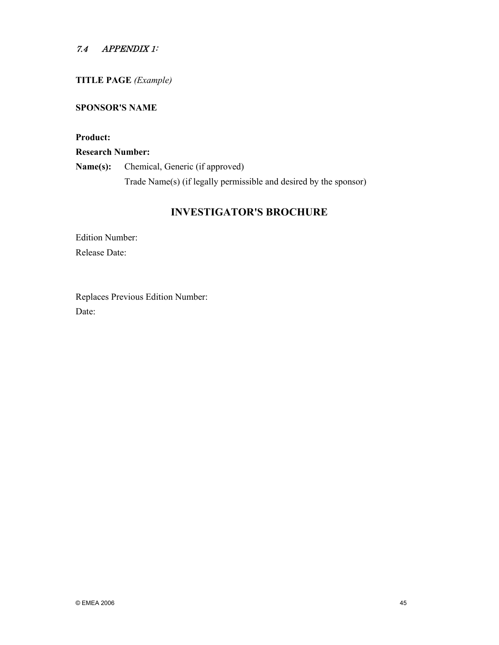## 7.4 APPENDIX 1:

# **TITLE PAGE** *(Example)*

### **SPONSOR'S NAME**

**Product:** 

#### **Research Number:**

Name(s): Chemical, Generic (if approved) Trade Name(s) (if legally permissible and desired by the sponsor)

# **INVESTIGATOR'S BROCHURE**

Edition Number: Release Date:

Replaces Previous Edition Number: Date: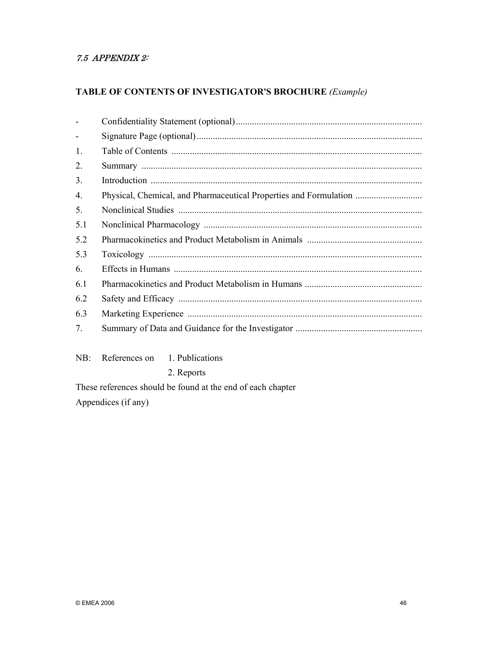# 7.5 APPENDIX 2:

# TABLE OF CONTENTS OF INVESTIGATOR'S BROCHURE (Example)

| $\blacksquare$ |                                                                   |
|----------------|-------------------------------------------------------------------|
| $\blacksquare$ |                                                                   |
| 1.             |                                                                   |
| 2.             |                                                                   |
| 3.             |                                                                   |
| 4.             | Physical, Chemical, and Pharmaceutical Properties and Formulation |
| 5.             |                                                                   |
| 5.1            |                                                                   |
| 5.2            |                                                                   |
| 5.3            |                                                                   |
| 6.             |                                                                   |
| 6.1            |                                                                   |
| 6.2            |                                                                   |
| 6.3            |                                                                   |
| 7.             |                                                                   |
|                |                                                                   |

NB: References on 1. Publications

2. Reports

These references should be found at the end of each chapter Appendices (if any)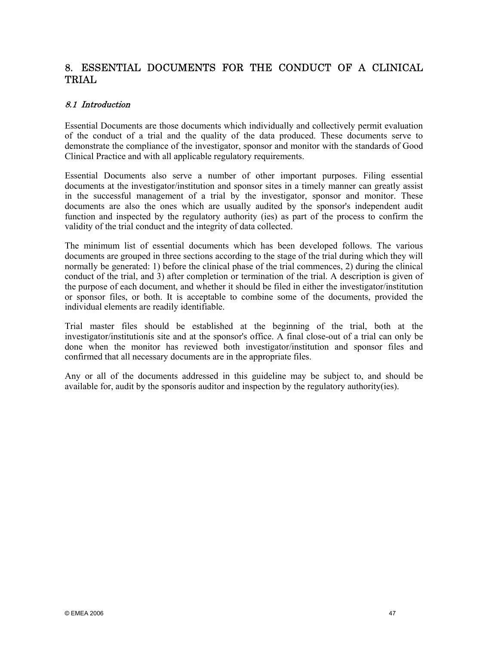# 8. ESSENTIAL DOCUMENTS FOR THE CONDUCT OF A CLINICAL TRIAL

#### 8.1 Introduction

Essential Documents are those documents which individually and collectively permit evaluation of the conduct of a trial and the quality of the data produced. These documents serve to demonstrate the compliance of the investigator, sponsor and monitor with the standards of Good Clinical Practice and with all applicable regulatory requirements.

Essential Documents also serve a number of other important purposes. Filing essential documents at the investigator/institution and sponsor sites in a timely manner can greatly assist in the successful management of a trial by the investigator, sponsor and monitor. These documents are also the ones which are usually audited by the sponsor's independent audit function and inspected by the regulatory authority (ies) as part of the process to confirm the validity of the trial conduct and the integrity of data collected.

The minimum list of essential documents which has been developed follows. The various documents are grouped in three sections according to the stage of the trial during which they will normally be generated: 1) before the clinical phase of the trial commences, 2) during the clinical conduct of the trial, and 3) after completion or termination of the trial. A description is given of the purpose of each document, and whether it should be filed in either the investigator/institution or sponsor files, or both. It is acceptable to combine some of the documents, provided the individual elements are readily identifiable.

Trial master files should be established at the beginning of the trial, both at the investigator/institutionís site and at the sponsor's office. A final close-out of a trial can only be done when the monitor has reviewed both investigator/institution and sponsor files and confirmed that all necessary documents are in the appropriate files.

Any or all of the documents addressed in this guideline may be subject to, and should be available for, audit by the sponsorís auditor and inspection by the regulatory authority(ies).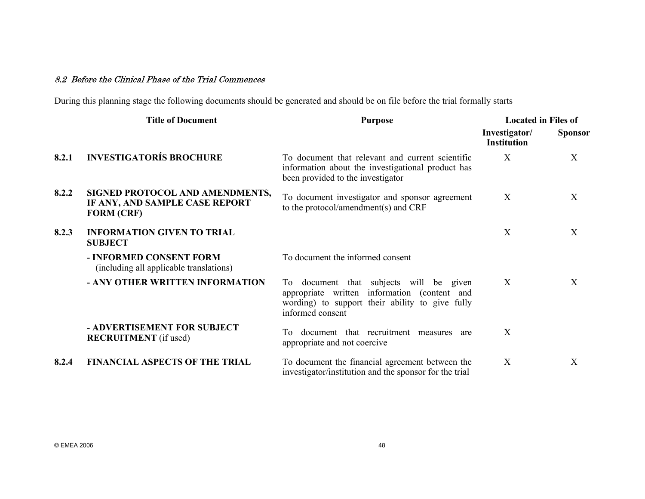#### 8.2 Before the Clinical Phase of the Trial Commences

During this planning stage the following documents should be generated and should be on file before the trial formally starts

|       | <b>Title of Document</b>                                                               | <b>Purpose</b>                                                                                                                                                    | <b>Located in Files of</b>          |                |
|-------|----------------------------------------------------------------------------------------|-------------------------------------------------------------------------------------------------------------------------------------------------------------------|-------------------------------------|----------------|
|       |                                                                                        |                                                                                                                                                                   | Investigator/<br><b>Institution</b> | <b>Sponsor</b> |
| 8.2.1 | <b>INVESTIGATORÍS BROCHURE</b>                                                         | To document that relevant and current scientific<br>information about the investigational product has<br>been provided to the investigator                        | X                                   | X              |
| 8.2.2 | SIGNED PROTOCOL AND AMENDMENTS,<br>IF ANY, AND SAMPLE CASE REPORT<br><b>FORM (CRF)</b> | To document investigator and sponsor agreement<br>to the protocol/amendment(s) and CRF                                                                            | X                                   | X              |
| 8.2.3 | <b>INFORMATION GIVEN TO TRIAL</b><br><b>SUBJECT</b>                                    |                                                                                                                                                                   | X                                   | X              |
|       | - INFORMED CONSENT FORM<br>(including all applicable translations)                     | To document the informed consent                                                                                                                                  |                                     |                |
|       | - ANY OTHER WRITTEN INFORMATION                                                        | document that subjects will be given<br>To<br>appropriate written information (content and<br>wording) to support their ability to give fully<br>informed consent | X                                   | X              |
|       | - ADVERTISEMENT FOR SUBJECT<br><b>RECRUITMENT</b> (if used)                            | To document that recruitment measures are<br>appropriate and not coercive                                                                                         | X                                   |                |
| 8.2.4 | <b>FINANCIAL ASPECTS OF THE TRIAL</b>                                                  | To document the financial agreement between the<br>investigator/institution and the sponsor for the trial                                                         | X                                   | X              |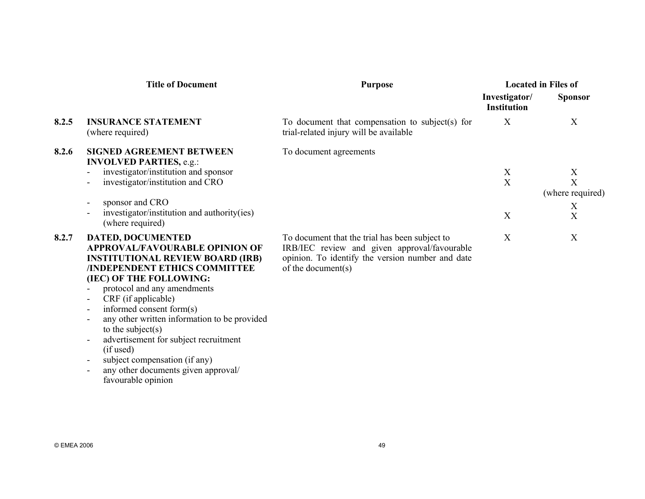|       | <b>Title of Document</b>                                                                                                                                                                                                                                                                                                                                                                                                                                                                                             | <b>Purpose</b>                                                                                                                                                           | <b>Located in Files of</b>          |                                               |
|-------|----------------------------------------------------------------------------------------------------------------------------------------------------------------------------------------------------------------------------------------------------------------------------------------------------------------------------------------------------------------------------------------------------------------------------------------------------------------------------------------------------------------------|--------------------------------------------------------------------------------------------------------------------------------------------------------------------------|-------------------------------------|-----------------------------------------------|
|       |                                                                                                                                                                                                                                                                                                                                                                                                                                                                                                                      |                                                                                                                                                                          | Investigator/<br><b>Institution</b> | <b>Sponsor</b>                                |
| 8.2.5 | <b>INSURANCE STATEMENT</b><br>(where required)                                                                                                                                                                                                                                                                                                                                                                                                                                                                       | To document that compensation to subject(s) for<br>trial-related injury will be available                                                                                | X                                   | X                                             |
| 8.2.6 | <b>SIGNED AGREEMENT BETWEEN</b><br><b>INVOLVED PARTIES, e.g.:</b><br>investigator/institution and sponsor                                                                                                                                                                                                                                                                                                                                                                                                            | To document agreements                                                                                                                                                   | X                                   | $\mathbf X$                                   |
|       | investigator/institution and CRO<br>$\overline{\phantom{a}}$                                                                                                                                                                                                                                                                                                                                                                                                                                                         |                                                                                                                                                                          | X                                   | $\boldsymbol{\mathrm{X}}$<br>(where required) |
|       | sponsor and CRO<br>$\overline{\phantom{a}}$<br>investigator/institution and authority(ies)<br>(where required)                                                                                                                                                                                                                                                                                                                                                                                                       |                                                                                                                                                                          | $\mathbf X$                         | $\mathbf X$<br>X                              |
| 8.2.7 | <b>DATED, DOCUMENTED</b><br><b>APPROVAL/FAVOURABLE OPINION OF</b><br><b>INSTITUTIONAL REVIEW BOARD (IRB)</b><br><b>/INDEPENDENT ETHICS COMMITTEE</b><br>(IEC) OF THE FOLLOWING:<br>protocol and any amendments<br>$\overline{a}$<br>CRF (if applicable)<br>$\overline{\phantom{a}}$<br>informed consent form(s)<br>$\overline{\phantom{0}}$<br>any other written information to be provided<br>$\overline{\phantom{a}}$<br>to the subject(s)<br>advertisement for subject recruitment<br>$\blacksquare$<br>(if used) | To document that the trial has been subject to<br>IRB/IEC review and given approval/favourable<br>opinion. To identify the version number and date<br>of the document(s) | X                                   | X                                             |
|       | subject compensation (if any)                                                                                                                                                                                                                                                                                                                                                                                                                                                                                        |                                                                                                                                                                          |                                     |                                               |

- any other documents given approval/ favourable opinion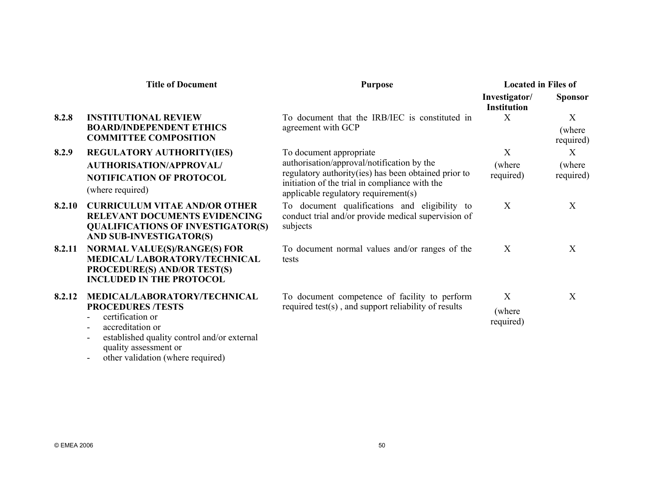|                                                                 | <b>Title of Document</b>                                                                                                                            | <b>Purpose</b>                                                                                                                                                                               | <b>Located in Files of</b>          |                      |
|-----------------------------------------------------------------|-----------------------------------------------------------------------------------------------------------------------------------------------------|----------------------------------------------------------------------------------------------------------------------------------------------------------------------------------------------|-------------------------------------|----------------------|
|                                                                 |                                                                                                                                                     |                                                                                                                                                                                              | Investigator/<br><b>Institution</b> | <b>Sponsor</b>       |
| 8.2.8                                                           | <b>INSTITUTIONAL REVIEW</b>                                                                                                                         | To document that the IRB/IEC is constituted in                                                                                                                                               | X                                   | X                    |
| <b>BOARD/INDEPENDENT ETHICS</b><br><b>COMMITTEE COMPOSITION</b> |                                                                                                                                                     | agreement with GCP                                                                                                                                                                           |                                     | (where)<br>required) |
| 8.2.9                                                           | <b>REGULATORY AUTHORITY(IES)</b>                                                                                                                    | To document appropriate                                                                                                                                                                      | X                                   | X                    |
|                                                                 | <b>AUTHORISATION/APPROVAL/</b><br><b>NOTIFICATION OF PROTOCOL</b><br>(where required)                                                               | authorisation/approval/notification by the<br>regulatory authority(ies) has been obtained prior to<br>initiation of the trial in compliance with the<br>applicable regulatory requirement(s) | (where)<br>required)                | (where)<br>required) |
| 8.2.10                                                          | <b>CURRICULUM VITAE AND/OR OTHER</b><br><b>RELEVANT DOCUMENTS EVIDENCING</b><br><b>QUALIFICATIONS OF INVESTIGATOR(S)</b><br>AND SUB-INVESTIGATOR(S) | To document qualifications and eligibility to<br>conduct trial and/or provide medical supervision of<br>subjects                                                                             | $\boldsymbol{X}$                    | X                    |
| 8.2.11                                                          | <b>NORMAL VALUE(S)/RANGE(S) FOR</b><br>MEDICAL/LABORATORY/TECHNICAL<br>PROCEDURE(S) AND/OR TEST(S)<br><b>INCLUDED IN THE PROTOCOL</b>               | To document normal values and/or ranges of the<br>tests                                                                                                                                      | X                                   | X                    |
| 8.2.12                                                          | MEDICAL/LABORATORY/TECHNICAL                                                                                                                        | To document competence of facility to perform                                                                                                                                                | X                                   | X                    |
|                                                                 | <b>PROCEDURES/TESTS</b><br>certification or<br>accreditation or<br>established quality control and/or external<br>quality assessment or             | required test $(s)$ , and support reliability of results                                                                                                                                     | (where)<br>required)                |                      |

- other validation (where required)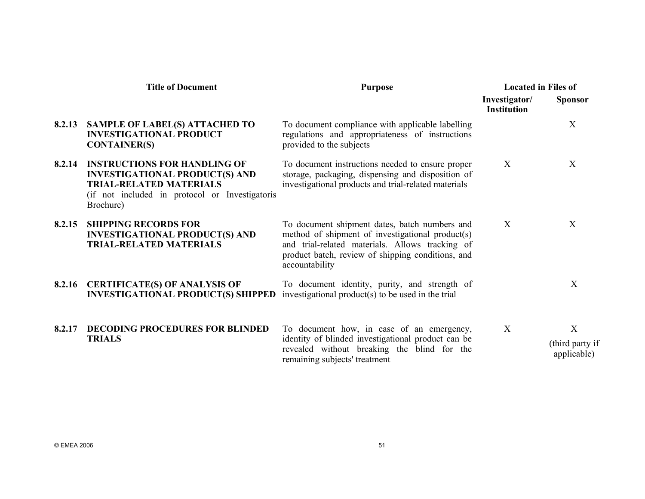|        | <b>Title of Document</b>                                                                                                                                                      | <b>Purpose</b>                                                                                                                                                                                                              | <b>Located in Files of</b>          |                                     |
|--------|-------------------------------------------------------------------------------------------------------------------------------------------------------------------------------|-----------------------------------------------------------------------------------------------------------------------------------------------------------------------------------------------------------------------------|-------------------------------------|-------------------------------------|
|        |                                                                                                                                                                               |                                                                                                                                                                                                                             | Investigator/<br><b>Institution</b> | <b>Sponsor</b>                      |
| 8.2.13 | <b>SAMPLE OF LABEL(S) ATTACHED TO</b><br><b>INVESTIGATIONAL PRODUCT</b><br><b>CONTAINER(S)</b>                                                                                | To document compliance with applicable labelling<br>regulations and appropriateness of instructions<br>provided to the subjects                                                                                             |                                     | X                                   |
| 8.2.14 | <b>INSTRUCTIONS FOR HANDLING OF</b><br><b>INVESTIGATIONAL PRODUCT(S) AND</b><br><b>TRIAL-RELATED MATERIALS</b><br>(if not included in protocol or Investigatoris<br>Brochure) | To document instructions needed to ensure proper<br>storage, packaging, dispensing and disposition of<br>investigational products and trial-related materials                                                               | X                                   | X                                   |
| 8.2.15 | <b>SHIPPING RECORDS FOR</b><br><b>INVESTIGATIONAL PRODUCT(S) AND</b><br><b>TRIAL-RELATED MATERIALS</b>                                                                        | To document shipment dates, batch numbers and<br>method of shipment of investigational product(s)<br>and trial-related materials. Allows tracking of<br>product batch, review of shipping conditions, and<br>accountability | X                                   | $\mathbf{X}$                        |
| 8.2.16 | <b>CERTIFICATE(S) OF ANALYSIS OF</b><br><b>INVESTIGATIONAL PRODUCT(S) SHIPPED</b>                                                                                             | To document identity, purity, and strength of<br>investigational product(s) to be used in the trial                                                                                                                         |                                     | X                                   |
| 8.2.17 | <b>DECODING PROCEDURES FOR BLINDED</b><br><b>TRIALS</b>                                                                                                                       | To document how, in case of an emergency,<br>identity of blinded investigational product can be<br>revealed without breaking the blind for the<br>remaining subjects' treatment                                             | X                                   | X<br>(third party if<br>applicable) |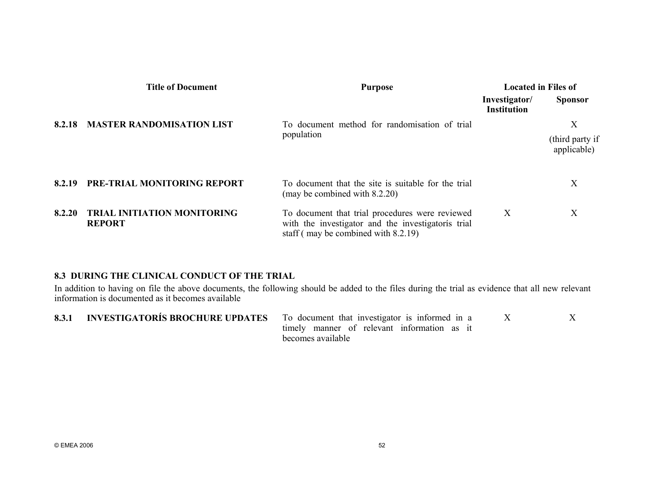|        | <b>Title of Document</b>                            | <b>Purpose</b>                                                                                                                                   | <b>Located in Files of</b>          |                                |
|--------|-----------------------------------------------------|--------------------------------------------------------------------------------------------------------------------------------------------------|-------------------------------------|--------------------------------|
|        |                                                     |                                                                                                                                                  | Investigator/<br><b>Institution</b> | <b>Sponsor</b>                 |
| 8.2.18 | <b>MASTER RANDOMISATION LIST</b>                    | To document method for randomisation of trial                                                                                                    |                                     | X                              |
|        |                                                     | population                                                                                                                                       |                                     | (third party if<br>applicable) |
| 8.2.19 | <b>PRE-TRIAL MONITORING REPORT</b>                  | To document that the site is suitable for the trial<br>(may be combined with 8.2.20)                                                             |                                     | X                              |
| 8.2.20 | <b>TRIAL INITIATION MONITORING</b><br><b>REPORT</b> | To document that trial procedures were reviewed<br>with the investigator and the investigator is trial<br>staff (may be combined with $8.2.19$ ) | X                                   | X                              |

#### **8.3 DURING THE CLINICAL CONDUCT OF THE TRIAL**

In addition to having on file the above documents, the following should be added to the files during the trial as evidence that all new relevant information is documented as it becomes available

| 8.3.1 | INVESTIGATORÍS BROCHURE UPDATES | To document that investigator is informed in a |  |
|-------|---------------------------------|------------------------------------------------|--|
|       |                                 | timely manner of relevant information as it    |  |
|       |                                 | becomes available                              |  |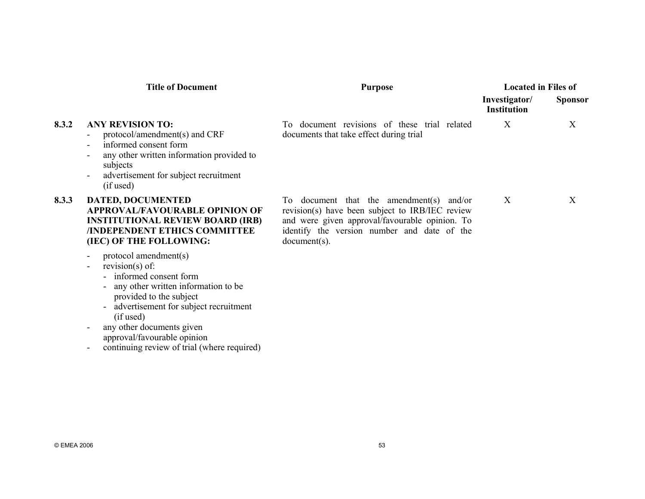|       | <b>Title of Document</b>                                                                                                                                                                                                                                                                                                                                            | <b>Purpose</b>                                                                                                                                                                                                  | <b>Located in Files of</b>          |                |
|-------|---------------------------------------------------------------------------------------------------------------------------------------------------------------------------------------------------------------------------------------------------------------------------------------------------------------------------------------------------------------------|-----------------------------------------------------------------------------------------------------------------------------------------------------------------------------------------------------------------|-------------------------------------|----------------|
|       |                                                                                                                                                                                                                                                                                                                                                                     |                                                                                                                                                                                                                 | Investigator/<br><b>Institution</b> | <b>Sponsor</b> |
| 8.3.2 | <b>ANY REVISION TO:</b><br>protocol/amendment(s) and CRF<br>informed consent form<br>any other written information provided to<br>subjects<br>advertisement for subject recruitment<br>(if used)                                                                                                                                                                    | To document revisions of these trial related<br>documents that take effect during trial                                                                                                                         | X                                   | X              |
| 8.3.3 | DATED, DOCUMENTED<br><b>APPROVAL/FAVOURABLE OPINION OF</b><br><b>INSTITUTIONAL REVIEW BOARD (IRB)</b><br><b>/INDEPENDENT ETHICS COMMITTEE</b><br>(IEC) OF THE FOLLOWING:                                                                                                                                                                                            | To document that the amendment(s) and/or<br>revision(s) have been subject to IRB/IEC review<br>and were given approval/favourable opinion. To<br>identify the version number and date of the<br>$document(s)$ . | X                                   | X              |
|       | $protocol$ amendment $(s)$<br>$\overline{\phantom{a}}$<br>revision(s) of:<br>- informed consent form<br>any other written information to be<br>provided to the subject<br>advertisement for subject recruitment<br>(if used)<br>any other documents given<br>approval/favourable opinion<br>continuing review of trial (where required)<br>$\overline{\phantom{a}}$ |                                                                                                                                                                                                                 |                                     |                |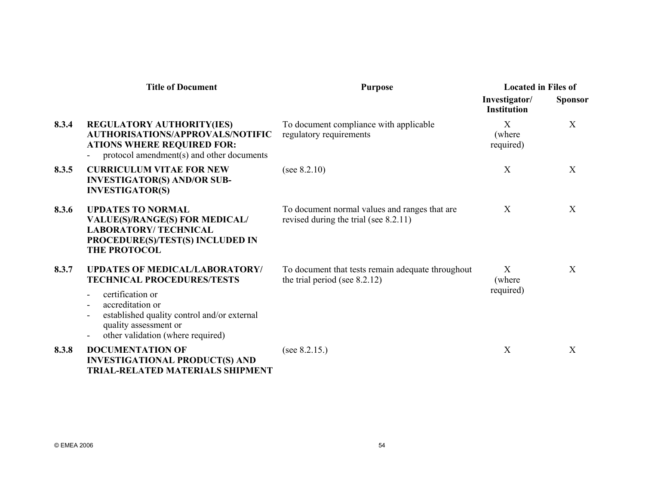|       | <b>Title of Document</b>                                                                                                                                                                                                        | <b>Purpose</b>                                                                         | <b>Located in Files of</b>          |                  |
|-------|---------------------------------------------------------------------------------------------------------------------------------------------------------------------------------------------------------------------------------|----------------------------------------------------------------------------------------|-------------------------------------|------------------|
|       |                                                                                                                                                                                                                                 |                                                                                        | Investigator/<br><b>Institution</b> | <b>Sponsor</b>   |
| 8.3.4 | <b>REGULATORY AUTHORITY(IES)</b><br>AUTHORISATIONS/APPROVALS/NOTIFIC<br><b>ATIONS WHERE REQUIRED FOR:</b><br>protocol amendment(s) and other documents                                                                          | To document compliance with applicable<br>regulatory requirements                      | X<br>(where)<br>required)           | X                |
| 8.3.5 | <b>CURRICULUM VITAE FOR NEW</b><br><b>INVESTIGATOR(S) AND/OR SUB-</b><br><b>INVESTIGATOR(S)</b>                                                                                                                                 | (see $8.2.10$ )                                                                        | X                                   | X                |
| 8.3.6 | <b>UPDATES TO NORMAL</b><br><b>VALUE(S)/RANGE(S) FOR MEDICAL/</b><br><b>LABORATORY/ TECHNICAL</b><br>PROCEDURE(S)/TEST(S) INCLUDED IN<br><b>THE PROTOCOL</b>                                                                    | To document normal values and ranges that are<br>revised during the trial (see 8.2.11) | X                                   | X                |
| 8.3.7 | <b>UPDATES OF MEDICAL/LABORATORY/</b><br><b>TECHNICAL PROCEDURES/TESTS</b><br>certification or<br>accreditation or<br>established quality control and/or external<br>quality assessment or<br>other validation (where required) | To document that tests remain adequate throughout<br>the trial period (see $8.2.12$ )  | X<br>(where)<br>required)           | $\boldsymbol{X}$ |
| 8.3.8 | <b>DOCUMENTATION OF</b><br><b>INVESTIGATIONAL PRODUCT(S) AND</b><br>TRIAL-RELATED MATERIALS SHIPMENT                                                                                                                            | (see $8.2.15$ .)                                                                       | X                                   | X                |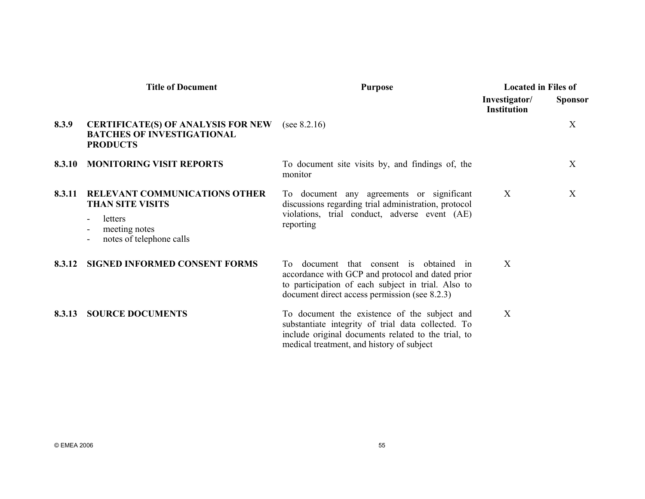|        | <b>Title of Document</b>                                                                                                | <b>Purpose</b>                                                                                                                                                                                                       | <b>Located in Files of</b>          |                |
|--------|-------------------------------------------------------------------------------------------------------------------------|----------------------------------------------------------------------------------------------------------------------------------------------------------------------------------------------------------------------|-------------------------------------|----------------|
|        |                                                                                                                         |                                                                                                                                                                                                                      | Investigator/<br><b>Institution</b> | <b>Sponsor</b> |
| 8.3.9  | <b>CERTIFICATE(S) OF ANALYSIS FOR NEW</b><br><b>BATCHES OF INVESTIGATIONAL</b><br><b>PRODUCTS</b>                       | (see $8.2.16$ )                                                                                                                                                                                                      |                                     | X              |
| 8.3.10 | <b>MONITORING VISIT REPORTS</b>                                                                                         | To document site visits by, and findings of, the<br>monitor                                                                                                                                                          |                                     | X              |
| 8.3.11 | <b>RELEVANT COMMUNICATIONS OTHER</b><br><b>THAN SITE VISITS</b><br>letters<br>meeting notes<br>notes of telephone calls | To document any agreements or significant<br>discussions regarding trial administration, protocol<br>violations, trial conduct, adverse event (AE)<br>reporting                                                      | X                                   | X              |
| 8.3.12 | <b>SIGNED INFORMED CONSENT FORMS</b>                                                                                    | document that consent is obtained<br>To<br>$\overline{1}$<br>accordance with GCP and protocol and dated prior<br>to participation of each subject in trial. Also to<br>document direct access permission (see 8.2.3) | X                                   |                |
| 8.3.13 | <b>SOURCE DOCUMENTS</b>                                                                                                 | To document the existence of the subject and<br>substantiate integrity of trial data collected. To<br>include original documents related to the trial, to<br>medical treatment, and history of subject               | X                                   |                |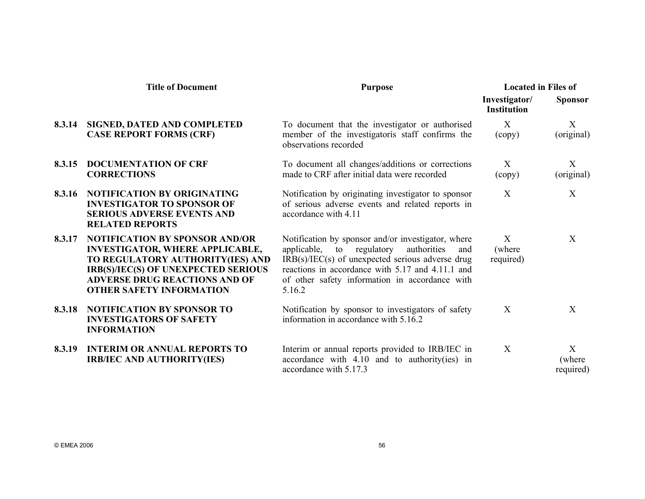|        | <b>Title of Document</b>                                                                                                                                                                                                              | <b>Purpose</b>                                                                                                                                                                                                                                                              | <b>Located in Files of</b>          |                           |
|--------|---------------------------------------------------------------------------------------------------------------------------------------------------------------------------------------------------------------------------------------|-----------------------------------------------------------------------------------------------------------------------------------------------------------------------------------------------------------------------------------------------------------------------------|-------------------------------------|---------------------------|
|        |                                                                                                                                                                                                                                       |                                                                                                                                                                                                                                                                             | Investigator/<br><b>Institution</b> | <b>Sponsor</b>            |
| 8.3.14 | <b>SIGNED, DATED AND COMPLETED</b><br><b>CASE REPORT FORMS (CRF)</b>                                                                                                                                                                  | To document that the investigator or authorised<br>member of the investigatoris staff confirms the<br>observations recorded                                                                                                                                                 | X<br>(copy)                         | X<br>(original)           |
| 8.3.15 | <b>DOCUMENTATION OF CRF</b><br><b>CORRECTIONS</b>                                                                                                                                                                                     | To document all changes/additions or corrections<br>made to CRF after initial data were recorded                                                                                                                                                                            | $\mathbf{X}$<br>(copy)              | X<br>(original)           |
| 8.3.16 | <b>NOTIFICATION BY ORIGINATING</b><br><b>INVESTIGATOR TO SPONSOR OF</b><br><b>SERIOUS ADVERSE EVENTS AND</b><br><b>RELATED REPORTS</b>                                                                                                | Notification by originating investigator to sponsor<br>of serious adverse events and related reports in<br>accordance with 4.11                                                                                                                                             | X                                   | X                         |
| 8.3.17 | <b>NOTIFICATION BY SPONSOR AND/OR</b><br><b>INVESTIGATOR, WHERE APPLICABLE,</b><br>TO REGULATORY AUTHORITY(IES) AND<br>IRB(S)/IEC(S) OF UNEXPECTED SERIOUS<br><b>ADVERSE DRUG REACTIONS AND OF</b><br><b>OTHER SAFETY INFORMATION</b> | Notification by sponsor and/or investigator, where<br>applicable, to regulatory<br>authorities<br>and<br>$IRB(s)/IEC(s)$ of unexpected serious adverse drug<br>reactions in accordance with 5.17 and 4.11.1 and<br>of other safety information in accordance with<br>5.16.2 | X<br>(where)<br>required)           | X                         |
| 8.3.18 | <b>NOTIFICATION BY SPONSOR TO</b><br><b>INVESTIGATORS OF SAFETY</b><br><b>INFORMATION</b>                                                                                                                                             | Notification by sponsor to investigators of safety<br>information in accordance with 5.16.2                                                                                                                                                                                 | X                                   | X                         |
| 8.3.19 | <b>INTERIM OR ANNUAL REPORTS TO</b><br><b>IRB/IEC AND AUTHORITY(IES)</b>                                                                                                                                                              | Interim or annual reports provided to IRB/IEC in<br>accordance with 4.10 and to authority(ies) in<br>accordance with 5.17.3                                                                                                                                                 | X                                   | X<br>(where)<br>required) |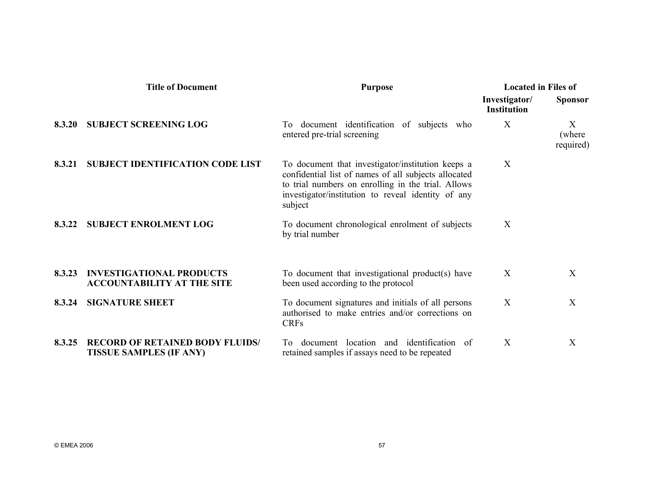|        | <b>Title of Document</b>                                                 | <b>Purpose</b>                                                                                                                                                                                                                   | <b>Located in Files of</b>          |                           |
|--------|--------------------------------------------------------------------------|----------------------------------------------------------------------------------------------------------------------------------------------------------------------------------------------------------------------------------|-------------------------------------|---------------------------|
|        |                                                                          |                                                                                                                                                                                                                                  | Investigator/<br><b>Institution</b> | <b>Sponsor</b>            |
| 8.3.20 | <b>SUBJECT SCREENING LOG</b>                                             | To document identification of subjects who<br>entered pre-trial screening                                                                                                                                                        | X                                   | X<br>(where)<br>required) |
| 8.3.21 | <b>SUBJECT IDENTIFICATION CODE LIST</b>                                  | To document that investigator/institution keeps a<br>confidential list of names of all subjects allocated<br>to trial numbers on enrolling in the trial. Allows<br>investigator/institution to reveal identity of any<br>subject | X                                   |                           |
| 8.3.22 | <b>SUBJECT ENROLMENT LOG</b>                                             | To document chronological enrolment of subjects<br>by trial number                                                                                                                                                               | X                                   |                           |
| 8.3.23 | <b>INVESTIGATIONAL PRODUCTS</b><br><b>ACCOUNTABILITY AT THE SITE</b>     | To document that investigational product(s) have<br>been used according to the protocol                                                                                                                                          | X                                   | X                         |
| 8.3.24 | <b>SIGNATURE SHEET</b>                                                   | To document signatures and initials of all persons<br>authorised to make entries and/or corrections on<br><b>CRFs</b>                                                                                                            | X                                   | X                         |
| 8.3.25 | <b>RECORD OF RETAINED BODY FLUIDS/</b><br><b>TISSUE SAMPLES (IF ANY)</b> | To document location and identification of<br>retained samples if assays need to be repeated                                                                                                                                     | X                                   | X                         |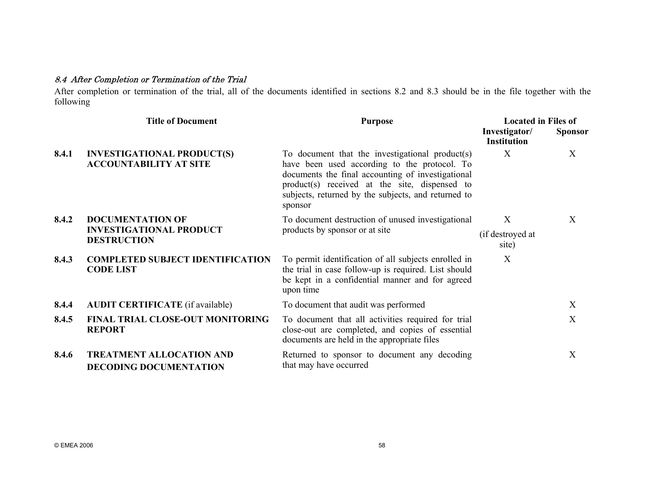## 8.4 After Completion or Termination of the Trial

After completion or termination of the trial, all of the documents identified in sections 8.2 and 8.3 should be in the file together with the following

|       | <b>Title of Document</b>                                                        | <b>Purpose</b>                                                                                                                                                                                                                                                          | <b>Located in Files of</b>          |                |
|-------|---------------------------------------------------------------------------------|-------------------------------------------------------------------------------------------------------------------------------------------------------------------------------------------------------------------------------------------------------------------------|-------------------------------------|----------------|
|       |                                                                                 |                                                                                                                                                                                                                                                                         | Investigator/<br><b>Institution</b> | <b>Sponsor</b> |
| 8.4.1 | <b>INVESTIGATIONAL PRODUCT(S)</b><br><b>ACCOUNTABILITY AT SITE</b>              | To document that the investigational product(s)<br>have been used according to the protocol. To<br>documents the final accounting of investigational<br>product(s) received at the site, dispensed to<br>subjects, returned by the subjects, and returned to<br>sponsor | X                                   | X              |
| 8.4.2 | <b>DOCUMENTATION OF</b><br><b>INVESTIGATIONAL PRODUCT</b><br><b>DESTRUCTION</b> | To document destruction of unused investigational<br>products by sponsor or at site                                                                                                                                                                                     | X                                   | X              |
|       |                                                                                 |                                                                                                                                                                                                                                                                         | (if destroyed at<br>site)           |                |
| 8.4.3 | <b>COMPLETED SUBJECT IDENTIFICATION</b><br><b>CODE LIST</b>                     | To permit identification of all subjects enrolled in<br>the trial in case follow-up is required. List should<br>be kept in a confidential manner and for agreed<br>upon time                                                                                            | $\boldsymbol{X}$                    |                |
| 8.4.4 | <b>AUDIT CERTIFICATE</b> (if available)                                         | To document that audit was performed                                                                                                                                                                                                                                    |                                     | X              |
| 8.4.5 | FINAL TRIAL CLOSE-OUT MONITORING<br><b>REPORT</b>                               | To document that all activities required for trial<br>close-out are completed, and copies of essential<br>documents are held in the appropriate files                                                                                                                   |                                     | X              |
| 8.4.6 | <b>TREATMENT ALLOCATION AND</b><br><b>DECODING DOCUMENTATION</b>                | Returned to sponsor to document any decoding<br>that may have occurred                                                                                                                                                                                                  |                                     | X              |